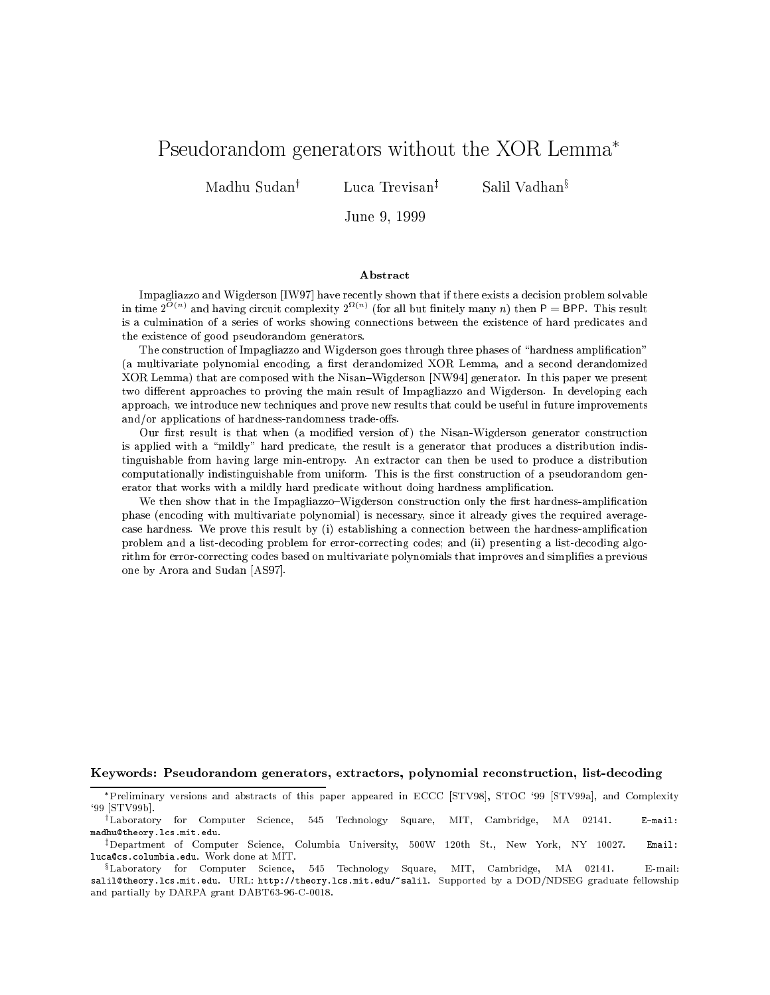# Pseudorandom generators without the XOR Lemma

Madhu Sudan<sup>†</sup>

Luca Trevisan<sup>‡</sup>

Salil Vadhan<sup>§</sup>

June 9, <sup>1999</sup>

#### Abstract

Impagliazzo and Wigderson [IW97] have recently shown that if there exists a decision problem solvable in time  $2^{-(n)}$  and having circuit complexity  $2^{-(n)}$  (for all but finitely many  $n)$  then  $P =$  BPP. This result is a culmination of a series of works showing connections between the existence of hard predicates and the existence of good pseudorandom generators.

The construction of Impagliazzo and Wigderson goes through three phases of "hardness amplification" (a multivariate polynomial encoding, a first derandomized XOR Lemma, and a second derandomized XOR Lemma) that are composed with the Nisan{Wigderson [NW94] generator. In this paper we present two different approaches to proving the main result of Impagliazzo and Wigderson. In developing each approach, we introduce new techniques and prove new results that could be useful in future improvements and/or applications of hardness-randomness trade-offs.

Our first result is that when (a modified version of) the Nisan-Wigderson generator construction is applied with a "mildly" hard predicate, the result is a generator that produces a distribution indistinguishable from having large min-entropy. An extractor can then be used to produce a distribution computationally indistinguishable from uniform. This is the first construction of a pseudorandom generator that works with a mildly hard predicate without doing hardness amplication.

We then show that in the Impagliazzo–Wigderson construction only the first hardness-amplification phase (encoding with multivariate polynomial) is necessary, since it already gives the required averagecase hardness. We prove this result by (i) establishing a connection between the hardness-amplication problem and a list-decoding problem for error-correcting codes; and (ii) presenting a list-decoding algorithm for error-correcting codes based on multivariate polynomials that improves and simplies a previous one by Arora and Sudan [AS97].

#### Keywords: Pseudorandom generators, extractors, polynomial reconstruction, list-decoding

Preliminary versions and abstracts of this paper appeared in ECCC [STV98], STOC `99 [STV99a], and Complexity `99 [STV99b].

<sup>&</sup>lt;sup>†</sup>Laboratory for Computer Science, 545 Technology Square, MIT, Cambridge, MA 02141. E-mail: madhu@theory.lcs.mit.edu.

<sup>&</sup>lt;sup>‡</sup>Department of Computer Science, Columbia University, 500W 120th St., New York, NY 10027. Email: luca@cs.columbia.edu. Work done at MIT.

<sup>&</sup>lt;sup>§</sup>Laboratory for Computer Science, 545 Technology Square, MIT, Cambridge, MA 02141. E-mail: salil@theory.lcs.mit.edu. URL: http://theory.lcs.mit.edu/~salil. Supported by a DOD/NDSEG graduate fellowship and partially by DARPA grant DABT63-96-C-0018.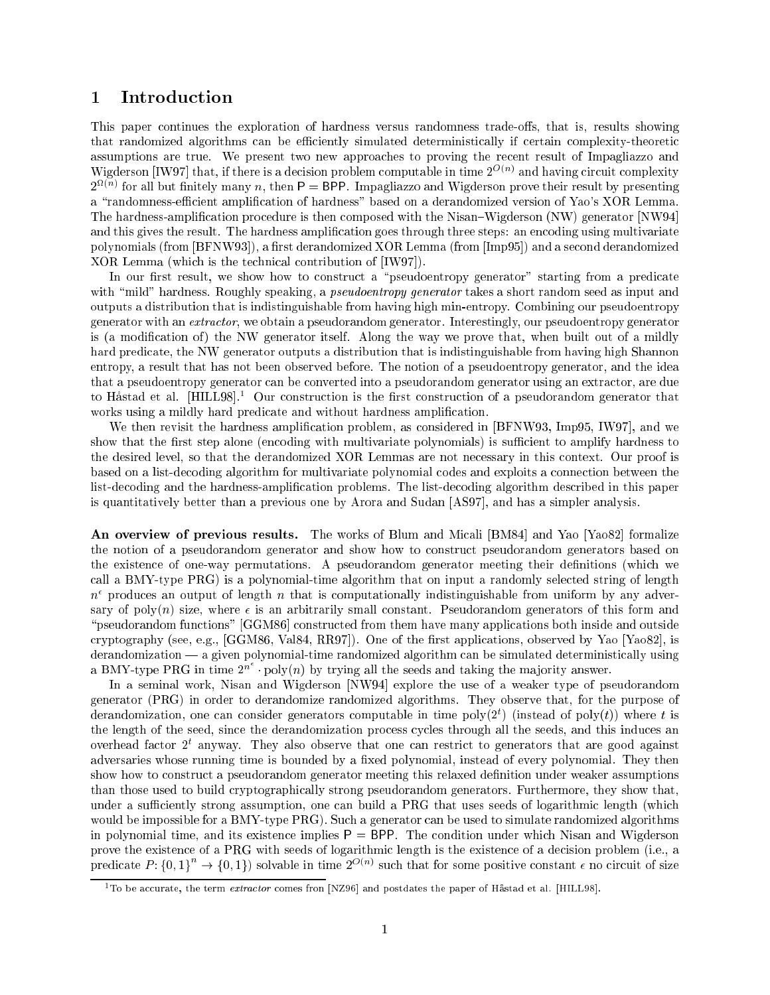# 1 Introduction

This paper continues the exploration of hardness versus randomness trade-offs, that is, results showing that randomized algorithms can be efficiently simulated deterministically if certain complexity-theoretic assumptions are true. We present two new approaches to proving the recent result of Impagliazzo and Wigderson [IW97] that, if there is a decision problem computable in time 2007 and having circuit complexity  $2^{\Omega(n)}$  for all but finitely many n, then  $\mathsf{P} = \mathsf{BPP}$ . Impagliazzo and Wigderson prove their result by presenting a "randomness-efficient amplification of hardness" based on a derandomized version of Yao's XOR Lemma. The hardness-amplification procedure is then composed with the Nisan–Wigderson (NW) generator [NW94] and this gives the result. The hardness amplication goes through three steps: an encoding using multivariate polynomials (from [BFNW93]), a first derandomized XOR Lemma (from [Imp95]) and a second derandomized XOR Lemma (which is the technical contribution of [IW97]).

In our first result, we show how to construct a "pseudoentropy generator" starting from a predicate with "mild" hardness. Roughly speaking, a *pseudoentropy generator* takes a short random seed as input and outputs a distribution that is indistinguishable from having high min-entropy. Combining our pseudoentropy generator with an extractor, we obtain a pseudorandom generator. Interestingly, our pseudoentropy generator is (a modification of) the NW generator itself. Along the way we prove that, when built out of a mildly hard predicate, the NW generator outputs a distribution that is indistinguishable from having high Shannon entropy, a result that has not been observed before. The notion of a pseudoentropy generator, and the idea that a pseudoentropy generator can be converted into a pseudorandom generator using an extractor, are due to Håstad et al.  $[HILL98]$ <sup>1</sup> Our construction is the first construction of a pseudorandom generator that works using a mildly hard predicate and without hardness amplification.

We then revisit the hardness amplication problem, as considered in [BFNW93, Imp95, IW97], and we show that the first step alone (encoding with multivariate polynomials) is sufficient to amplify hardness to the desired level, so that the derandomized XOR Lemmas are not necessary in this context. Our proof is based on a list-decoding algorithm for multivariate polynomial codes and exploits a connection between the list-decoding and the hardness-amplication problems. The list-decoding algorithm described in this paper is quantitatively better than a previous one by Arora and Sudan [AS97], and has a simpler analysis.

An overview of previous results. The works of Blum and Micali [BM84] and Yao [Yao82] formalize the notion of a pseudorandom generator and show how to construct pseudorandom generators based on the existence of one-way permutations. A pseudorandom generator meeting their definitions (which we call a BMY-type PRG) is a polynomial-time algorithm that on input a randomly selected string of length  $n$  -produces an output of length  $n$  that is computationally indistinguishable from uniform by any adversary of poly(n) size, where  $\epsilon$  is an arbitrarily small constant. Pseudorandom generators of this form and "pseudorandom functions" [GGM86] constructed from them have many applications both inside and outside cryptography (see, e.g.,  $[GGM86, Val84, RR97]$ ). One of the first applications, observed by Yao [Yao82], is  $derandomization - a given polynomial-time randomized algorithm can be simulated deterministically using$ a BMY-type PRG in time  $2^n$  poly $(n)$  by trying all the seeds and taking the majority answer.

In a seminal work, Nisan and Wigderson [NW94] explore the use of a weaker type of pseudorandom generator (PRG) in order to derandomize randomized algorithms. They observe that, for the purpose of derandomization, one can consider generators computable in time  $poly(2^+)$  (instead of  $poly(t))$  where  $t$  is the length of the seed, since the derandomization process cycles through all the seeds, and this induces an overhead factor 2<sup>t</sup> anyway. They also observe that one can restrict to generators that are good against adversaries whose running time is bounded by a fixed polynomial, instead of every polynomial. They then show how to construct a pseudorandom generator meeting this relaxed definition under weaker assumptions than those used to build cryptographically strong pseudorandom generators. Furthermore, they show that, under a sufficiently strong assumption, one can build a PRG that uses seeds of logarithmic length (which would be impossible for a BMY-type PRG). Such a generator can be used to simulate randomized algorithms in polynomial time, and its existence implies  $P = BPP$ . The condition under which Nisan and Wigderson prove the existence of a PRG with seeds of logarithmic length is the existence of a decision problem (i.e., a predicate  $P: \{0,1\}^n \to \{0,1\}$  solvable in time  $2^{O(n)}$  such that for some positive constant  $\epsilon$  no circuit of size

 $\overline{^{1}$ To be accurate, the term  $\emph{extractor}$  comes fron [NZ96] and postdates the paper of Håstad et al. [HILL98].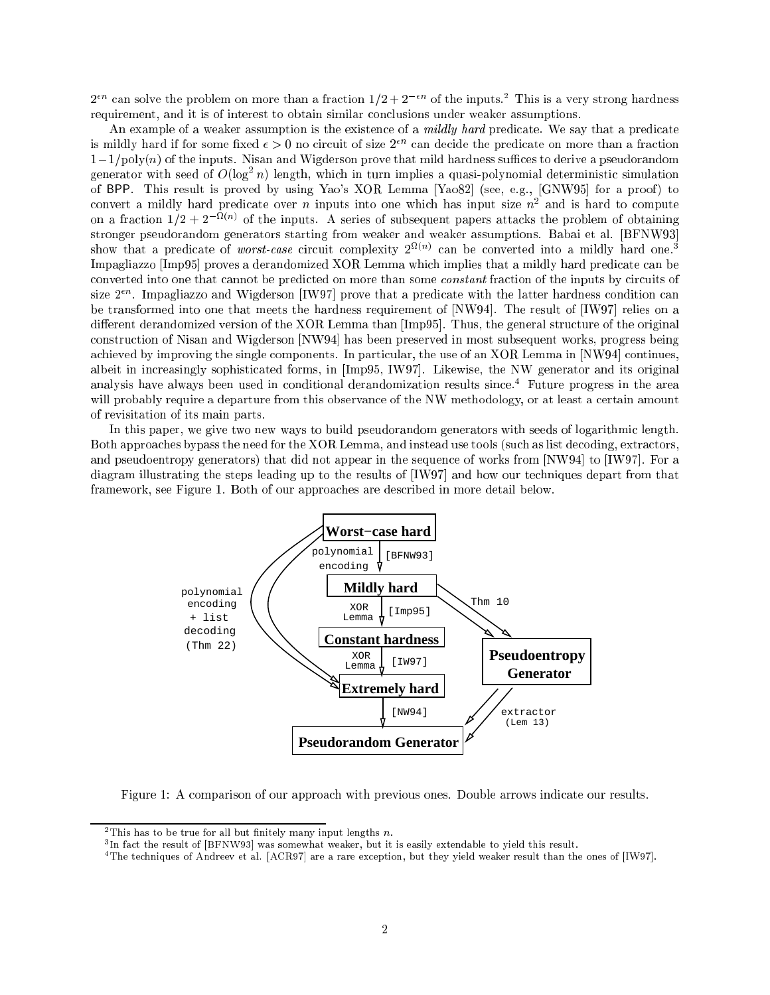$2^{\epsilon n}$  can solve the problem on more than a fraction  $1/2 + 2^{-\epsilon n}$  of the inputs.<sup>2</sup> This is a very strong hardness requirement, and it is of interest to obtain similar conclusions under weaker assumptions.

An example of a weaker assumption is the existence of a *mildly hard* predicate. We say that a predicate is mildly hard if for some fixed  $\epsilon > 0$  no circuit of size  $2^{\epsilon n}$  can decide the predicate on more than a fraction  $1-1/poly(n)$  of the inputs. Nisan and Wigderson prove that mild hardness suffices to derive a pseudorandom generator with seed of  $O(\log |n)$  length, which in turn implies a quasi-polynomial deterministic simulation of BPP. This result is proved by using Yao's XOR Lemma [Yao82] (see, e.g., [GNW95] for a proof) to convert a mildly hard predicate over  $n$  inputs into one which has input size  $n^\ast$  and is hard to compute on a fraction  $1/Z + Z$  and the inputs. A series of subsequent papers attacks the problem of obtaining stronger pseudorandom generators starting from weaker and weaker assumptions. Babai et al. [BFNW93]  $\sin$ ow that a predicate of  $worst-case$  circuit complexity  $2^{+\sqrt{-\gamma}}$  can be converted into a mildly hard one." Impagliazzo [Imp95] proves a derandomized XOR Lemma which implies that a mildly hard predicate can be converted into one that cannot be predicted on more than some constant fraction of the inputs by circuits of  $s$ ize 2  $\,$  . Impagliazzo and Wigderson  $_{[1}$ W97] prove that a predicate with the latter hardness condition can be transformed into one that meets the hardness requirement of [NW94]. The result of [IW97] relies on a different derandomized version of the XOR Lemma than [Imp95]. Thus, the general structure of the original construction of Nisan and Wigderson [NW94] has been preserved in most subsequent works, progress being achieved by improving the single components. In particular, the use of an XOR Lemma in [NW94] continues, albeit in increasingly sophisticated forms, in [Imp95, IW97]. Likewise, the NW generator and its original analysis have always been used in conditional derandomization results since.4 Future progress in the area will probably require a departure from this observance of the NW methodology, or at least a certain amount of revisitation of its main parts.

In this paper, we give two new ways to build pseudorandom generators with seeds of logarithmic length. Both approaches bypass the need for the XOR Lemma, and instead use tools (such as list decoding, extractors, and pseudoentropy generators) that did not appear in the sequence of works from [NW94] to [IW97]. For a diagram illustrating the steps leading up to the results of [IW97] and how our techniques depart from that framework, see Figure 1. Both of our approaches are described in more detail below.



Figure 1: A comparison of our approach with previous ones. Double arrows indicate our results.

<sup>&</sup>lt;sup>2</sup>This has to be true for all but finitely many input lengths  $n$ .

<sup>3</sup> In fact the result of [BFNW93] was somewhat weaker, but it is easily extendable to yield this result.

<sup>4</sup>The techniques of Andreev et al. [ACR97] are a rare exception, but they yield weaker result than the ones of [IW97].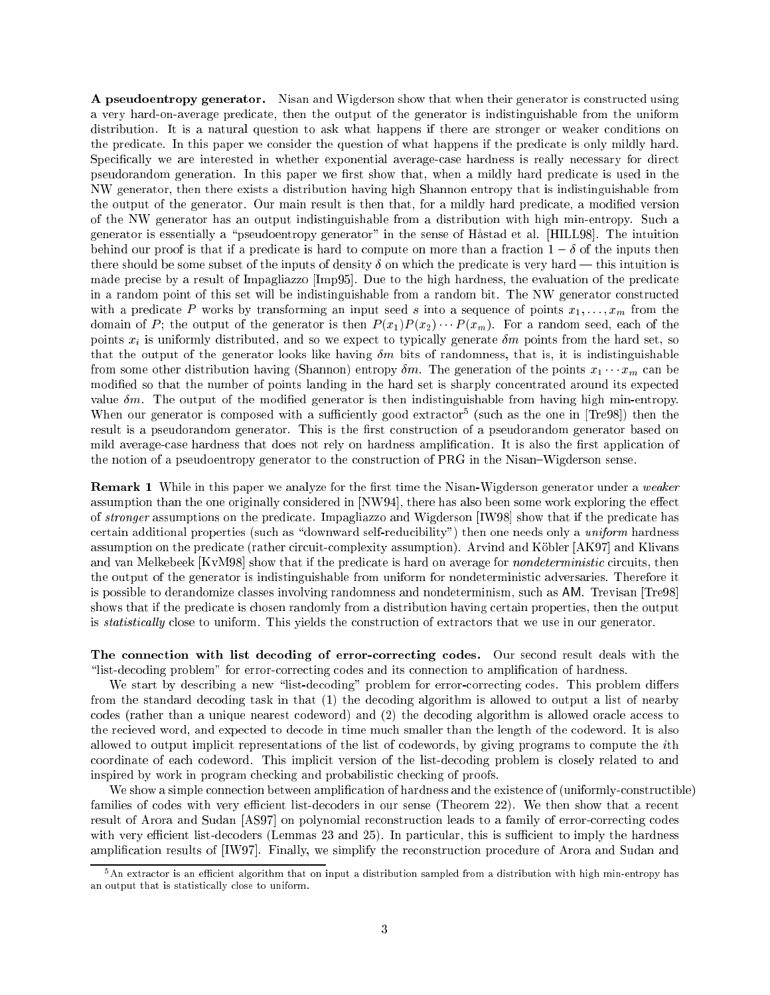A pseudoentropy generator. Nisan and Wigderson show that when their generator is constructed using a very hard-on-average predicate, then the output of the generator is indistinguishable from the uniform distribution. It is a natural question to ask what happens if there are stronger or weaker conditions on the predicate. In this paper we consider the question of what happens if the predicate is only mildly hard. Specically we are interested in whether exponential average-case hardness is really necessary for direct pseudorandom generation. In this paper we first show that, when a mildly hard predicate is used in the NW generator, then there exists a distribution having high Shannon entropy that is indistinguishable from the output of the generator. Our main result is then that, for a mildly hard predicate, a modied version of the NW generator has an output indistinguishable from a distribution with high min-entropy. Such a generator is essentially a \pseudoentropy generator" in the sense of Hastad et al. [HILL98]. The intuition behind our proof is that if a predicate is hard to compute on more than a fraction  $1 - \delta$  of the inputs then there should be some subset of the inputs of density  $\delta$  on which the predicate is very hard — this intuition is made precise by a result of Impagliazzo [Imp95]. Due to the high hardness, the evaluation of the predicate in a random point of this set will be indistinguishable from a random bit. The NW generator constructed with a predicate P works by transforming an input seed s into a sequence of points  $x_1, \ldots, x_m$  from the domain of P; the output of the generator is then  $P(x_1)P(x_2)\cdots P(x_m)$ . For a random seed, each of the points  $x_i$  is uniformly distributed, and so we expect to typically generate  $\delta m$  points from the hard set, so that the output of the generator looks like having  $\delta m$  bits of randomness, that is, it is indistinguishable from some other distribution having (Shannon) entropy  $\delta m$ . The generation of the points  $x_1 \cdots x_m$  can be modied so that the number of points landing in the hard set is sharply concentrated around its expected value  $\delta m$ . The output of the modified generator is then indistinguishable from having high min-entropy. When our generator is composed with a sumclemity good extractor (such as the one in [Tre98]) then the result is a pseudorandom generator. This is the first construction of a pseudorandom generator based on mild average-case hardness that does not rely on hardness amplification. It is also the first application of the notion of a pseudoentropy generator to the construction of PRG in the Nisan–Wigderson sense.

**Remark 1** While in this paper we analyze for the first time the Nisan-Wigderson generator under a weaker assumption than the one originally considered in [NW94], there has also been some work exploring the effect of stronger assumptions on the predicate. Impagliazzo and Wigderson [IW98] show that if the predicate has certain additional properties (such as "downward self-reducibility") then one needs only a uniform hardness assumption on the predicate (rather circuit-complexity assumption). Arvind and Köbler [AK97] and Klivans and van Melkebeek [KvM98] show that if the predicate is hard on average for *nondeterministic* circuits, then the output of the generator is indistinguishable from uniform for nondeterministic adversaries. Therefore it is possible to derandomize classes involving randomness and nondeterminism, such as AM. Trevisan [Tre98] shows that if the predicate is chosen randomly from a distribution having certain properties, then the output is *statistically* close to uniform. This yields the construction of extractors that we use in our generator.

The connection with list decoding of error-correcting codes. Our second result deals with the "list-decoding problem" for error-correcting codes and its connection to amplification of hardness.

We start by describing a new "list-decoding" problem for error-correcting codes. This problem differs from the standard decoding task in that (1) the decoding algorithm is allowed to output a list of nearby codes (rather than a unique nearest codeword) and (2) the decoding algorithm is allowed oracle access to the recieved word, and expected to decode in time much smaller than the length of the codeword. It is also allowed to output implicit representations of the list of codewords, by giving programs to compute the ith coordinate of each codeword. This implicit version of the list-decoding problem is closely related to and inspired by work in program checking and probabilistic checking of proofs.

We show a simple connection between amplification of hardness and the existence of (uniformly-constructible) families of codes with very efficient list-decoders in our sense (Theorem 22). We then show that a recent result of Arora and Sudan [AS97] on polynomial reconstruction leads to a family of error-correcting codes with very efficient list-decoders (Lemmas 23 and 25). In particular, this is sufficient to imply the hardness amplication results of [IW97]. Finally, we simplify the reconstruction procedure of Arora and Sudan and

 $5$ An extractor is an efficient algorithm that on input a distribution sampled from a distribution with high min-entropy has an output that is statistically close to uniform.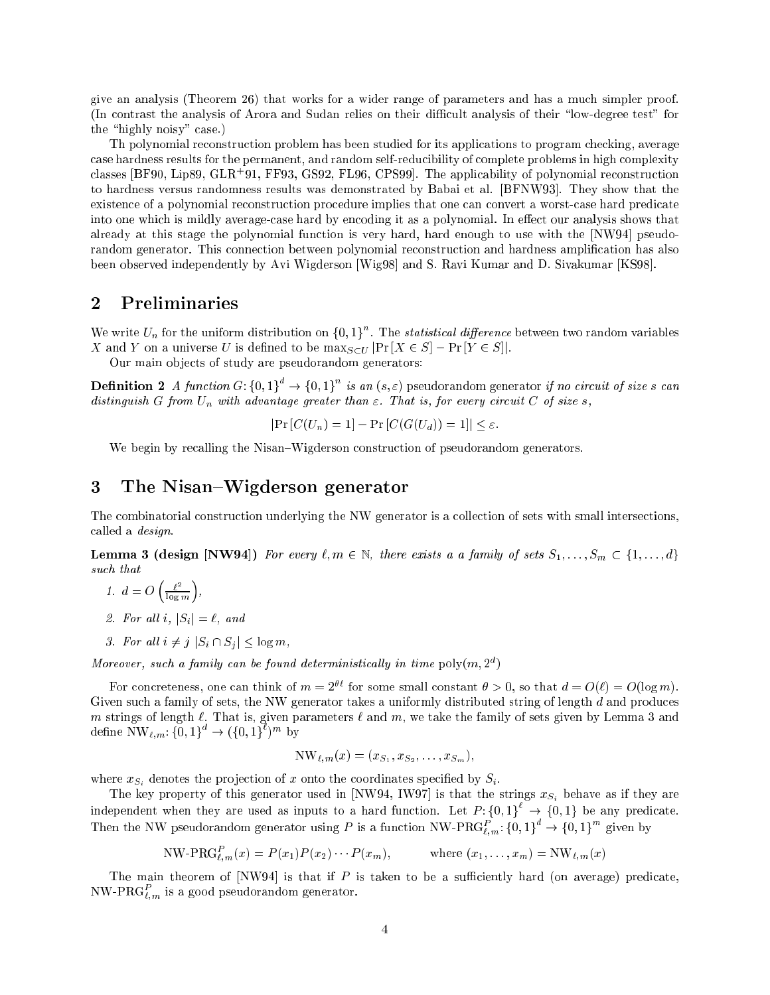give an analysis (Theorem 26) that works for a wider range of parameters and has a much simpler proof. (In contrast the analysis of Arora and Sudan relies on their difficult analysis of their "low-degree test" for the "highly noisy" case.)

Th polynomial reconstruction problem has been studied for its applications to program checking, average case hardness results for the permanent, and random self-reducibility of complete problems in high complexity classes  $|$ BF90, Lipe9, GLR+91, FF95, GS92, FL90, CFS99]. The applicability of polynomial reconstruction to hardness versus randomness results was demonstrated by Babai et al. [BFNW93]. They show that the existence of a polynomial reconstruction procedure implies that one can convert a worst-case hard predicate into one which is mildly average-case hard by encoding it as a polynomial. In effect our analysis shows that already at this stage the polynomial function is very hard, hard enough to use with the [NW94] pseudorandom generator. This connection between polynomial reconstruction and hardness amplification has also been observed independently by Avi Wigderson [Wig98] and S. Ravi Kumar and D. Sivakumar [KS98].

## 2 Preliminaries

We write  $U_n$  for the uniform distribution on  $\{0,1\}$ . The *statistical difference* between two random variables X and Y on a universe U is defined to be  $\max_{S\subset U}$   $\Pr[X\in S]$  –  $\Pr[Y\in S]$ .

Our main ob jects of study are pseudorandom generators:

**Definition 2** A function  $G: \{0,1\}^n \to \{0,1\}^n$  is an  $(s, \varepsilon)$  pseudorandom generator if no circuit of size s can distinguish G from  $U_n$  with advantage greater than  $\varepsilon$ . That is, for every circuit C of size s,

$$
|\Pr\left[C(U_n) = 1\right] - \Pr\left[C(G(U_d)) = 1\right]| \le \varepsilon.
$$

We begin by recalling the Nisan–Wigderson construction of pseudorandom generators.

# 3 The Nisan-Wigderson generator

The combinatorial construction underlying the NW generator is a collection of sets with small intersections, called a design.

**Lemma 3 (design [NW94])** For every  $\ell, m \in \mathbb{N}$ , there exists a a family of sets  $S_1, \ldots, S_m \subset \{1, \ldots, d\}$ such that

- $\ell^2$  $-$ n m ,
- 2. For all i,  $|S_i| = \ell$ , and
- 3. For all  $i \neq j$   $|S_i \cap S_j| \leq \log m$ ,

 $\sim$ 

 $m$ oreover, such a family can be found deterministically in time  $\mathsf{poly}(m,2^+)$ 

For concreteness, one can think of  $m = 2^{\theta \ell}$  for some small constant  $\theta > 0$ , so that  $d = O(\ell) = O(\log m)$ . Given such a family of sets, the NW generator takes a uniformly distributed string of length  $d$  and produces m strings of length  $\cdots$  that is, given parameters  $\cdots$  and  $\cdots$  and  $\cdots$  and  $\cdots$  given by Lemma define  $N W_{\ell,m}: \{0,1\} \rightarrow (\{0,1\})^m$  by

$$
NW_{\ell,m}(x) = (x_{S_1}, x_{S_2}, \ldots, x_{S_m}),
$$

where  $x_{S_i}$  denotes the projection of x onto the coordinates specified by  $S_i$ .

The key property of this generator used in [NW94, IW97] is that the strings  $x_{S_i}$  behave as if they are independent when they are used as inputs to a hard function. Let  $P: \{0,1\} \rightarrow \{0,1\}$  be any predicate. Then the NW pseudorandom generator using P is a function NW-PRG<sub>Um</sub>:  $\{0,1\}^+\to\{0,1\}^+\$  given by

$$
NW-PRG_{\ell,m}^{P}(x) = P(x_1)P(x_2)\cdots P(x_m), \qquad \text{where } (x_1,\ldots,x_m) = NW_{\ell,m}(x)
$$

The main theorem of [NW94] is that if  $P$  is taken to be a sufficiently hard (on average) predicate. NW-PRG $_{\ell,m}$  is a good pseudorandom generator.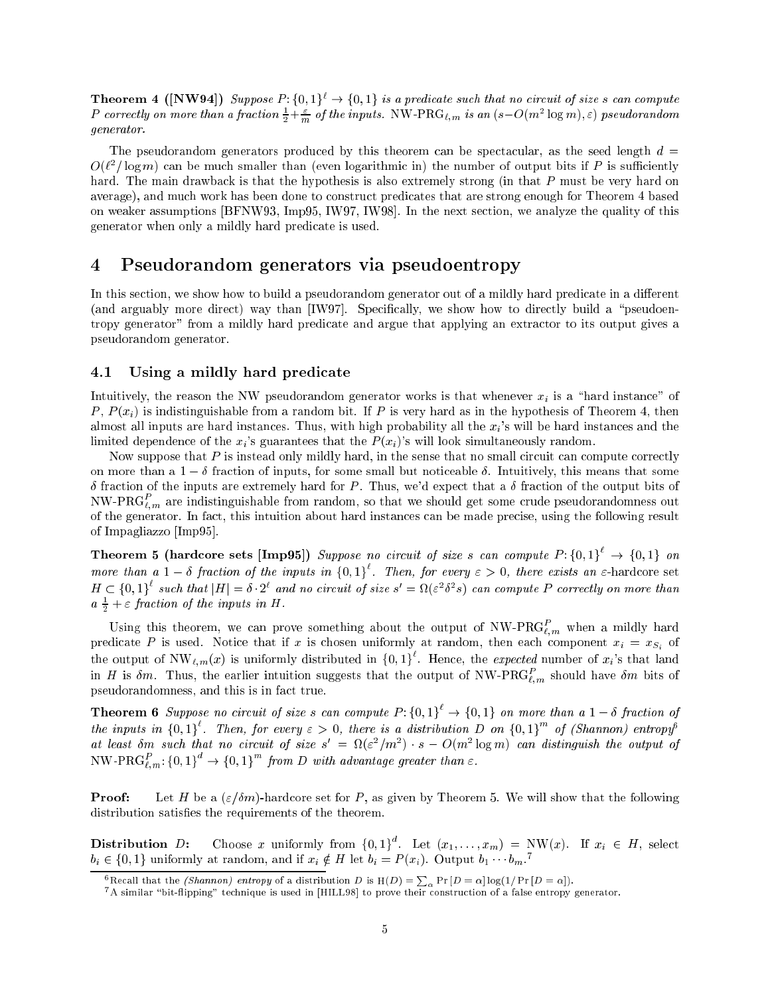**Theorem 4 ([NW94])** Suppose  $P: \{0,1\}^{\ell} \to \{0,1\}$  is a predicate such that no circuit of size s can compute P correctly on more than a fraction  $\frac{1}{2} + \frac{1}{m}$  of the inputs. NW-PRG<sub>l,m</sub> is an  $(s - O(m^2 \log m), \varepsilon)$  pseudorandom generator.

The pseudorandom generators produced by this theorem can be spectacular, as the seed length  $d =$  $O(t^-/10$ g $m)$  can be much smaller than (even logarithmic in) the number of output bits if  $P$  is sumclently hard. The main drawback is that the hypothesis is also extremely strong (in that P must be very hard on average), and much work has been done to construct predicates that are strong enough for Theorem 4 based average), and much work has been done to construct predicates that are strong enough for Theorem 4 based for Th on weaker assumptions [BFNW93, Imp95, IW97, IW98]. In the next section, we analyze the quality of this generator when only a mildly hard predicate is used.

#### $\overline{\mathcal{A}}$ Pseudorandom generators via pseudoentropy

In this section, we show how to build a pseudorandom generator out of a mildly hard predicate in a different (and arguably more direct) way than  $[IW97]$ . Specifically, we show how to directly build a "pseudoentropy generator" from a mildly hard predicate and argue that applying an extractor to its output gives a pseudorandom generator.

## 4.1 Using a mildly hard predicate

Intuitively, the reason the NW pseudorandom generator works is that whenever  $x_i$  is a "hard instance" of P,  $P(x_i)$  is indistinguishable from a random bit. If P is very hard as in the hypothesis of Theorem 4, then almost all inputs are hard instances. Thus, with high probability all the  $x_i$ 's will be hard instances and the limited dependence of the  $x_i$ 's guarantees that the  $P(x_i)$ 's will look simultaneously random.

Now suppose that  $P$  is instead only mildly hard, in the sense that no small circuit can compute correctly on more than a  $1 - \delta$  fraction of inputs, for some small but noticeable  $\delta$ . Intuitively, this means that some  $\delta$  fraction of the inputs are extremely hard for P. Thus, we'd expect that a  $\delta$  fraction of the output bits of NW-PRG $_{\ell,m}$  are indistinguishable from random, so that we should get some crude pseudorandomness out of the generator. In fact, this intuition about hard instances can be made precise, using the following result of Impagliazzo [Imp95].

**Theorem 5 (hardcore sets [Imp95])** Suppose no circuit of size s can compute  $P: \{0,1\} \rightarrow \{0,1\}$  on more than a  $1-\delta$  fraction of the inputs in  $\{0,1\}$ . Then, for every  $\varepsilon > 0$ , there exists an  $\varepsilon$ -hardcore set  $H \subset \{0,1\}$  such that  $|H| = \delta \cdot 2^c$  and no circuit of size  $s' = \Omega(\varepsilon^2 \delta^2 s)$  can compute P correctly on more than  $a_{\frac{\pi}{2}} + \varepsilon$  fraction of the inputs in  $H$ .

Using this theorem, we can prove something about the output of  $N_{\mathbf{W}}\text{-P}\text{K}G_{\ell,m}^*$  when a mildly hard predicate P is used. Notice that if x is chosen uniformly at random, then each component  $x_i = x_{S_i}$  of the output of  $NW_{\ell,m}(x)$  is uniformly distributed in  $\{0,1\}^{\ell}$ . Hence, the *expected* number of  $x_i$ 's that land in H is  $\delta m$ . Thus, the earlier intuition suggests that the output of NW-PRG $\overline{\iota}_m$  should have  $\delta m$  bits of pseudorandomness, and this is in fact true.

**Theorem 6** Suppose no circuit of size s can compute  $P: \{0, 1\} \rightarrow \{0, 1\}$  on more than a  $1 - \delta$  fraction of the inputs in  $\{0,1\}$ . Then, for every  $\varepsilon > 0$ , there is a distribution D on  $\{0,1\}$  of (Shannon) entropy at least om such that no circuit of size  $s = \Omega(\varepsilon^2/m^2) \cdot s = O(m^2 \log m)$  can aistinguish the output of  $\text{NW-PRG}_{\ell,m}:\{0,1\}^{\sim}\rightarrow\{0,1\}^{\sim}$  from D with advantage greater than  $\varepsilon$ .

**Proof:** Let H be a  $(\varepsilon/\delta m)$ -hardcore set for P, as given by Theorem 5. We will show that the following distribution satisfies the requirements of the theorem.

**Distribution** D: Choose x uniformly from  $\{0,1\}^{\circ}$ . Let  $(x_1,\ldots,x_m)$  = NW(x). If  $x_i \in H$ , select  $v_i \in \{0,1\}$  uniformly at random, and if  $x_i \notin H$  let  $v_i = F(x_i)$ . Output  $v_1 \cdots v_m$ 

<sup>&</sup>lt;sup>6</sup> Recall that the *(Shannon) entropy* of a distribution D is  $H(D) = \sum_{\alpha} Pr[D = \alpha] log(1/Pr[D = \alpha]).$ <sup>7</sup> A similar "bit-flipping" technique is used in [HILL98] to prove their construction of a false entropy generator.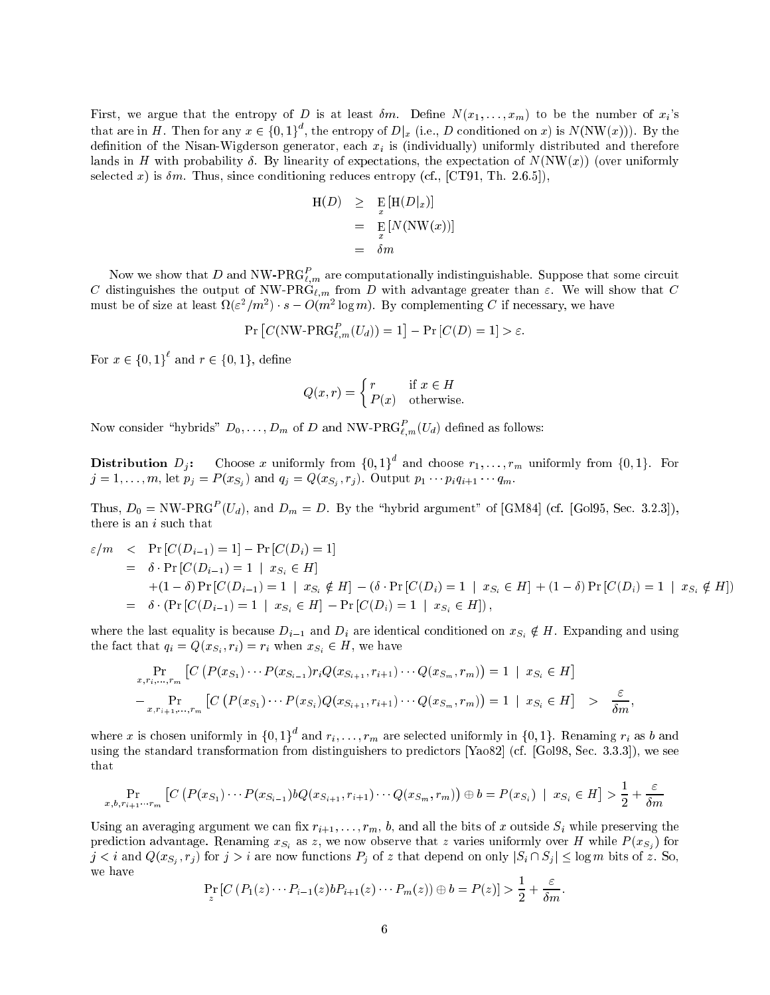First, we argue that the entropy of D is at least  $\delta m$ . Define  $N(x_1, \ldots, x_m)$  to be the number of  $x_i$ 's that are in H. Then for any  $x \in \{0,1\}^{\circ}$ , the entropy of  $D|_x$  (i.e., D conditioned on x) is N(NW(x))). By the definition of the Nisan-Wigderson generator, each  $x_i$  is (individually) uniformly distributed and therefore lands in H with probability  $\delta$ . By linearity of expectations, the expectation of  $N(NW(x))$  (over uniformly selected x) is  $\delta m$ . Thus, since conditioning reduces entropy (cf., [CT91, Th. 2.6.5]),

$$
H(D) \geq E_{x} [H(D|x)]
$$
  
= 
$$
E_{x} [N(NW(x))]
$$
  
= 
$$
\delta m
$$

Now we show that  $D$  and NW-PRG $_{\ell,m}$  are computationally indistinguishable. Suppose that some circuit C distinguishes the output of NW-PR $\dot{G}_{\ell,m}$  from D with advantage greater than  $\varepsilon$ . We will show that C must be of size at least  $u(\varepsilon^2/m^2) \cdot s = O(m^2 \log m)$ . By complementing C if necessary, we have

$$
\Pr\left[C(\text{NW-PRG}_{\ell,m}^P(U_d))=1\right]-\Pr\left[C(D)=1\right]>\varepsilon.
$$

For  $x \in \{0,1\}$  and  $r \in \{0,1\}$ , define

$$
Q(x,r) = \begin{cases} r & \text{if } x \in H \\ P(x) & \text{otherwise.} \end{cases}
$$

Now consider "hybrids"  $D_0, \ldots, D_m$  of D and NW-PRG $\ell_{L,m}(U_d)$  defined as follows:

**Distribution**  $D_i$ : Choose x uniformly from  $\{0,1\}^{\circ}$  and choose  $r_1,\ldots,r_m$  uniformly from  $\{0,1\}$ . For  $j$  ,  $j$  ,  $i$  ,  $j$  ,  $j$  ,  $j$  ,  $j$  ,  $j$  ,  $j$  ,  $j$  ,  $j$  ,  $j$  ,  $j$  ,  $j$  ,  $j$  ,  $j$  ,  $j$  ,  $j$  ,  $j$  ,  $j$  ,  $j$  ,  $j$  ,  $j$  ,  $j$  ,  $j$  ,  $j$  ,  $j$  ,  $j$  ,  $j$  ,  $j$  ,  $j$  ,  $j$  ,  $j$  ,  $j$  ,  $j$  ,  $j$  ,  $j$  ,

Thus,  $D_0 = \text{NW-PRG}^+(U_d)$ , and  $D_m = D$ . By the "nybrid argument" of [GM84] (cf. [Gol95, Sec. 3.2.3]), there is an i such that

$$
\varepsilon/m \leq \Pr\left[C(D_{i-1}) = 1\right] - \Pr\left[C(D_i) = 1\right] \n= \delta \cdot \Pr\left[C(D_{i-1}) = 1 \mid x_{S_i} \in H\right] \n+ (1 - \delta) \Pr\left[C(D_{i-1}) = 1 \mid x_{S_i} \notin H\right] - (\delta \cdot \Pr\left[C(D_i) = 1 \mid x_{S_i} \in H\right] + (1 - \delta) \Pr\left[C(D_i) = 1 \mid x_{S_i} \notin H\right]) \n= \delta \cdot (\Pr\left[C(D_{i-1}) = 1 \mid x_{S_i} \in H\right] - \Pr\left[C(D_i) = 1 \mid x_{S_i} \in H\right],
$$

where the last equality is because  $D_{i-1}$  and  $D_i$  are identical conditioned on  $x_{S_i} \notin H$ . Expanding and using , the fact that  $\mathbf{q}_i$  and  $\mathbf{q}_i$  and  $\mathbf{q}_i$  and  $\mathbf{q}_i$  and  $\mathbf{q}_i$  and  $\mathbf{q}_i$  and  $\mathbf{q}_i$ 

$$
\Pr_{x, r_i, \dots, r_m} \left[ C \left( P(x_{S_1}) \cdots P(x_{S_{i-1}}) r_i Q(x_{S_{i+1}}, r_{i+1}) \cdots Q(x_{S_m}, r_m) \right) = 1 \mid x_{S_i} \in H \right]
$$
\n
$$
- \Pr_{x, r_{i+1}, \dots, r_m} \left[ C \left( P(x_{S_1}) \cdots P(x_{S_i}) Q(x_{S_{i+1}}, r_{i+1}) \cdots Q(x_{S_m}, r_m) \right) = 1 \mid x_{S_i} \in H \right] \quad > \quad \frac{\varepsilon}{\delta m},
$$

where x is chosen uniformly in  $\{0, 1\}$  and  $r_i, \ldots, r_m$  are selected uniformly in  $\{0, 1\}$ . Renaming  $r_i$  as b and using the standard transformation from distinguishers to predictors [Yao82] (cf. [Gol98, Sec. 3.3.3]), we see that

$$
\Pr_{x,b,r_{i+1}\cdots r_m} \left[ C\left( P(x_{S_1})\cdots P(x_{S_{i-1}}) bQ(x_{S_{i+1}},r_{i+1})\cdots Q(x_{S_m},r_m) \right) \oplus b = P(x_{S_i}) \mid x_{S_i} \in H \right] > \frac{1}{2} + \frac{\varepsilon}{\delta m}
$$

Using an averaging argument we can fix  $r_{i+1}, \ldots, r_m$ , b, and all the bits of x outside  $S_i$  while preserving the prediction advantage. Renaming  $x_{S_i}$  as z, we now observe that z varies uniformly over H while  $P(x_{S_i})$  for  $j$  , respectively if  $j$  is that if the norm functions  $j$  of that dependent on only  $|s|$  is  $j$  if  $\sigma$  is only that dependent on  $\sigma$ we have

$$
\Pr_{z}[C (P_1(z) \cdots P_{i-1}(z)bP_{i+1}(z) \cdots P_m(z)) \oplus b = P(z)] > \frac{1}{2} + \frac{\varepsilon}{\delta m}.
$$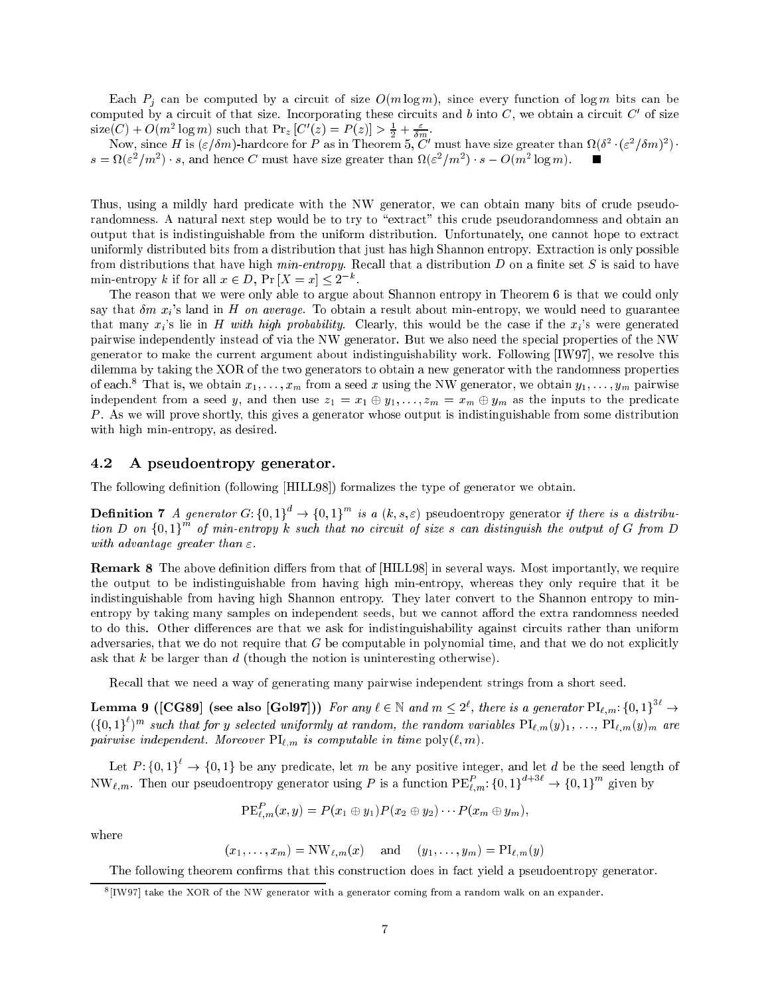Each  $P_j$  can be computed by a circuit of size  $O(m \log m)$ , since every function of log m bits can be computed by a circuit of that size. Incorporating these circuits and  $\theta$  into  $C,$  we obtain a circuit  $C$  of size size(C) +  $O(m^2 \log m)$  such that  $Pr_z$  [C  $(z) = F(z)$ ] >  $\frac{1}{2} + \frac{1}{\delta m}$ .

Now, since H is  $(\varepsilon / \theta m)$ -hardcore for P as in Theorem 5, C must have size greater than  $\Omega(0^+)$  ( $\varepsilon^-$ / $\theta m$ ) )  $s = \alpha(\varepsilon / m)$  is, and hence C must have size greater than  $\alpha(\varepsilon / m)$  is  $\in$  O (m  $\log m$ ).

Thus, using a mildly hard predicate with the NW generator, we can obtain many bits of crude pseudorandomness. A natural next step would be to try to "extract" this crude pseudorandomness and obtain an output that is indistinguishable from the uniform distribution. Unfortunately, one cannot hope to extract uniformly distributed bits from a distribution that just has high Shannon entropy. Extraction is only possible from distributions that have high  $min\text{-}entropy$ . Recall that a distribution D on a finite set S is said to have min-entropy  $\kappa$  if for all  $x \in D$ , Pr  $|X| = x$   $\leq 2$ 

The reason that we were only able to argue about Shannon entropy in Theorem 6 is that we could only say that  $\delta m$   $x_i$ 's land in H on average. To obtain a result about min-entropy, we would need to guarantee that many  $x_i$ 's lie in H with high probability. Clearly, this would be the case if the  $x_i$ 's were generated pairwise independently instead of via the NW generator. But we also need the special properties of the NW generator to make the current argument about indistinguishability work. Following [IW97], we resolve this dilemma by taking the XOR of the two generators to obtain a new generator with the randomness properties of each." That is, we obtain  $x_1, \ldots, x_m$  from a seed  $x$  using the NW generator, we obtain  $y_1, \ldots, y_m$  pairwise independent from a seed y, and then use  $z_1 = x_1 \oplus y_1, \ldots, z_m = x_m \oplus y_m$  as the inputs to the predicate P . As we will prove shortly, this gives a generator whose output is indistinguishable from some distribution with high min-entropy, as desired.

### 4.2 A pseudoentropy generator.

The following definition (following [HILL98]) formalizes the type of generator we obtain.

**Definition** 7 A generator G: {0,1}<sup>-</sup>  $\rightarrow$  {0,1}<sup>-</sup> is a (k, s,  $\varepsilon$ ) pseudoentropy generator if there is a distribu-<br>tion D on {0,1}<sup>m</sup> of min-entropy k such that no circuit of size s can distinguish the output of G fr with advantage greater than  $\varepsilon$ .

**Remark 8** The above definition differs from that of [HILL98] in several ways. Most importantly, we require the output to be indistinguishable from having high min-entropy, whereas they only require that it be indistinguishable from having high Shannon entropy. They later convert to the Shannon entropy to minentropy by taking many samples on independent seeds, but we cannot afford the extra randomness needed to do this. Other differences are that we ask for indistinguishability against circuits rather than uniform adversaries, that we do not require that  $G$  be computable in polynomial time, and that we do not explicitly ask that k be larger than d (though the notion is uninteresting otherwise).

Recall that we need a way of generating many pairwise independent strings from a short seed.

**Lemma 9** ([CG89] (see also [Gol97])) For any  $\ell \in \mathbb{N}$  and  $m \leq 2^{\epsilon}$ , there is a generator  $\text{Pl}_{\ell,m}: \{0,1\}^{\leq \epsilon} \to$  $(10,1)$  of that for y selected uniformly at random, the random variables  $PL_{\ell,m}(y)_1,\ldots,PL_{\ell,m}(y)_m$  are pairwise independent. Moreover  $\text{PI}_{\ell,m}$  is computable in time  $\text{poly}(\ell, m)$ .

Let P: {0, 1}  $\rightarrow$  {0, 1} be any predicate, let m be any positive integer, and let d be the seed length of  $\text{NW}_{\ell,m}$ . Then our pseudoentropy generator using P is a function  $\text{PE}_{\ell,m}$ : {0,1}^ ^  $\rightarrow$  {0,1}^ given by

$$
\mathrm{PE}_{\ell,m}^P(x,y)=P(x_1\oplus y_1)P(x_2\oplus y_2)\cdots P(x_m\oplus y_m),
$$

where

 $(x_1, \ldots, x_m) = \text{NW}_{\ell,m}(x)$  and  $(y_1, \ldots, y_m) = \text{PI}_{\ell,m}(y)$ 

The following theorem confirms that this construction does in fact yield a pseudoentropy generator.

<sup>8</sup> [IW97] take the XOR of the NW generator with a generator coming from a random walk on an expander.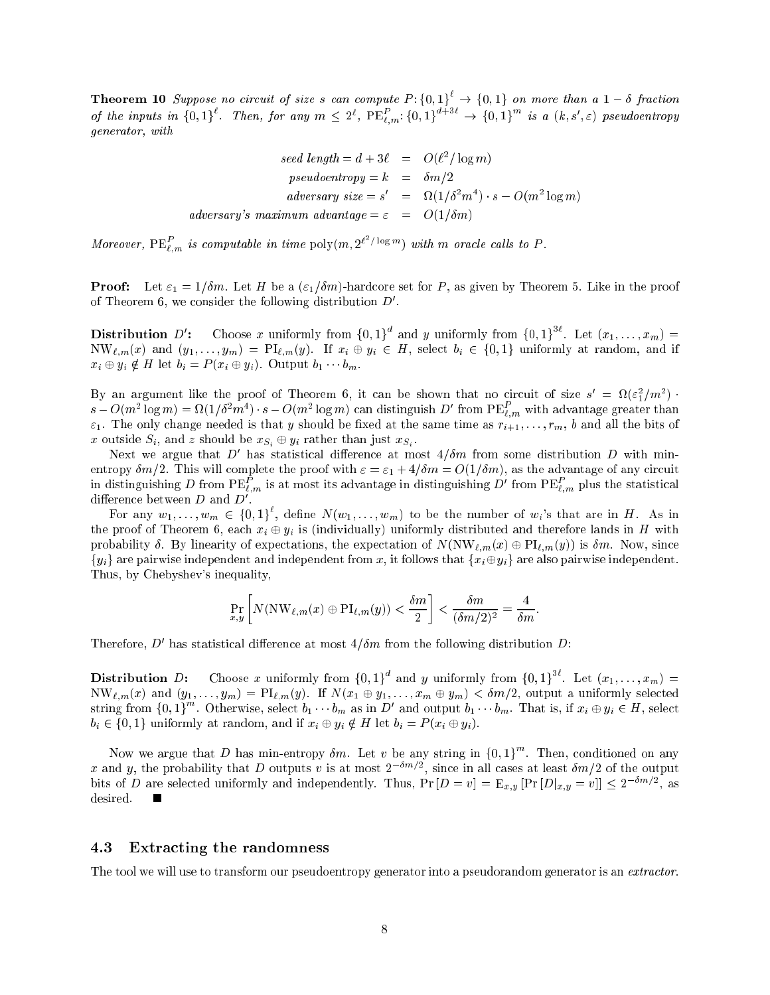**Theorem 10** Suppose no circuit of size s can compute  $P: \{0, 1\} \rightarrow \{0, 1\}$  on more than a  $1 - \delta$  fraction of the inputs in  $\{0,1\}$ . Then, for any  $m \leq 2^c$ ,  $PE_{t,m}^*$ ,  $\{0,1\}^c$   $\rightarrow$   $\{0,1\}^c$  is a  $(k,s',\varepsilon)$  pseudoentropy generator, with

$$
seed\ length = d + 3\ell = O(\ell^2/\log m)
$$
  
\n
$$
pseudoentropy = k = \delta m/2
$$
  
\n
$$
adversary\ size = s' = \Omega(1/\delta^2 m^4) \cdot s - O(m^2 \log m)
$$
  
\n
$$
adversary's\ maximum\ advantage = \varepsilon = O(1/\delta m)
$$

Moreover,  $PE_{\ell,m}^r$  is computable in time  $poly(m, 2^{\ell-1} \log m)$  with m oracle calls to P.

**Proof:** Let  $\varepsilon_1 = 1/\delta m$ . Let H be a  $(\varepsilon_1/\delta m)$ -hardcore set for P, as given by Theorem 5. Like in the proof of theorem  $\sigma$ , we consider the following distribution  $D$ .

Distribution  $D'$ : : Choose x uniformly from  $\{0,1\}^{\dagger}$  and y uniformly from  $\{0,1\}^{\dagger}$ . Let  $(x_1,\ldots,x_m)$  =  $NW_{\ell,m}(x)$  and  $(y_1, \ldots, y_m) = PI_{\ell,m}(y)$ . If  $x_i \oplus y_i \in H$ , select  $b_i \in \{0,1\}$  uniformly at random, and if  $x_i \oplus y_i \notin H$  let  $b_i = P(x_i \oplus y_i)$ . Output  $b_1 \cdots b_m$ .

By an argument like the proof of Theorem 6, it can be shown that no circuit of size  $s = \Omega(\varepsilon_1^2/m^2)$ .  $s - O(m^2 \log m) = M(1/\delta^2 m^2) \cdot s - O(m^2 \log m)$  can distinguish  $D^*$  from  $PE_{\ell,m}^-$  with advantage greater than  $\varepsilon_1$ . The only change needed is that y should be fixed at the same time as  $r_{i+1}, \ldots, r_m$ , b and all the bits of  $\omega_1 = \omega_2$  , and  $\omega_3 = \omega_4$  , and  $\omega_5 = \omega_5$  , and  $\omega_7 = \omega_7$  , and  $\omega_8 = \omega_8$ 

Next we argue that  $D$  has statistical difference at most  $4/ \sigma m$  from some distribution  $D$  with minentropy  $\delta m/2$ . This will complete the proof with  $\varepsilon = \varepsilon_1 + 4/\delta m = O(1/\delta m)$ , as the advantage of any circuit in distinguishing  $D$  from  $PE_{\ell,m}^-$  is at most its advantage in distinguishing  $D^r$  from  $PE_{\ell,m}^-$  plus the statistical difference between  $\nu$  and  $\nu$  .

For any  $w_1, \ldots, w_m \in \{0,1\}^k$ , define  $N(w_1, \ldots, w_m)$  to be the number of  $w_i$ 's that are in H. As in the proof of Theorem 6, each  $x_i \oplus y_i$  is (individually) uniformly distributed and therefore lands in H with probability  $\delta$ . By linearity of expectations, the expectation of  $N(\nabla W_{\ell,m}(x) \oplus Pl_{\ell,m}(y))$  is  $\delta m$ . Now, since  ${y_i}$  are pairwise independent and independent from x, it follows that  ${x_i \oplus y_i}$  are also pairwise independent. Thus, by Chebyshev's inequality,

$$
\Pr_{x,y}\left[N(\mathrm{NW}_{\ell,m}(x)\oplus\mathrm{PI}_{\ell,m}(y))<\frac{\delta m}{2}\right]<\frac{\delta m}{(\delta m/2)^2}=\frac{4}{\delta m}.
$$

I herefore,  $D$  has statistical difference at most  $4/om$  from the following distribution  $D$ :

**Distribution** D: Choose x uniformly from  $\{0,1\}^*$  and y uniformly from  $\{0,1\}^*$ . Let  $(x_1,\ldots,x_m)$  =  $NW_{\ell,m}(x)$  and  $(y_1, \ldots, y_m) = PI_{\ell,m}(y)$ . If  $N(x_1 \oplus y_1, \ldots, x_m \oplus y_m) < \delta m/2$ , output a uniformly selected string from  $\{0,1\}^n$ . Otherwise, select  $b_1 \cdots b_m$  as in D' and output  $b_1 \cdots b_m$ . That is, if  $x_i \oplus y_i \in H$ , select  $b_i \in \{0,1\}$  uniformly at random, and if  $x_i \oplus y_i \notin H$  let  $b_i = P(x_i \oplus y_i)$ .

Now we argue that D has min-entropy  $\delta m$ . Let v be any string in  $\{0,1\}^{\cdots}$ . Then, conditioned on any x and y, the probability that  $D$  outputs v is at most  $2^{n+2}$ , since in all cases at least  $\delta m/2$  of the output bits of D are selected uniformly and independently. Thus,  $\Pr[D=v] = \mathbb{E}_{x,y} |\Pr[D|_{x,y} = v]| \leq 2^{-\alpha/2}$ , as desired.

## 4.3 Extracting the randomness

The tool we will use to transform our pseudoentropy generator into a pseudorandom generator is an extractor.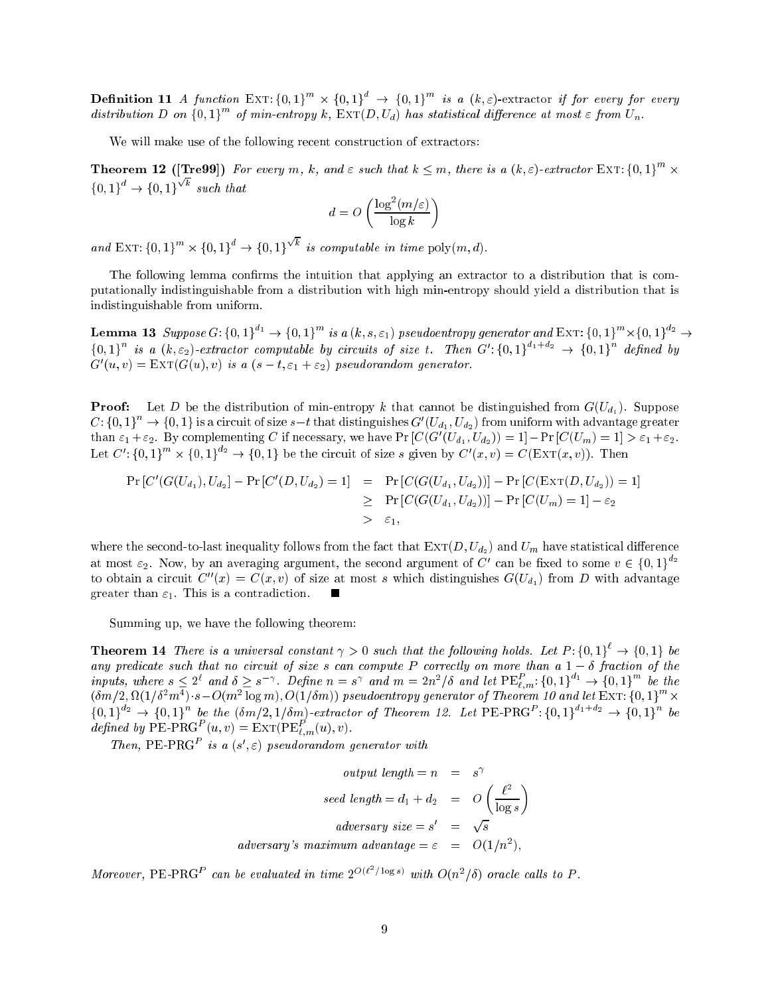**Definition 11** A function EXT: {0,1}  $\rightarrow$  {0,1} as a (k, \\sepsile extractor if for every for every distribution D on  $\{0,1\}^{\cdots}$  of min-entropy k,  $\text{EXT}(D, U_d)$  has statistical difference at most  $\varepsilon$  from  $U_n$ .

We will make use of the following recent construction of extractors:

**Theorem 12** ([Tre99]) For every m, k, and  $\varepsilon$  such that  $k \leq m$ , there is a  $(k,\varepsilon)$ -extractor EXT: {0,1}  $\leq$  $\{0,1\}^{\circ} \rightarrow \{0,1\}$  $\sqrt{k}$  such that

$$
d = O\left(\frac{\log^2(m/\varepsilon)}{\log k}\right)
$$

and EXT:  $\{0, 1\}^n \times \{0, 1\}^n \rightarrow \{0, 1\}^n$  $\sqrt{k}$  is computable in time poly $(m, d)$ .

The following lemma confirms the intuition that applying an extractor to a distribution that is computationally indistinguishable from a distribution with high min-entropy should yield a distribution that is indistinguishable from uniform.

**Lemma 13** Suppose G: {0, 1}<sup>-1</sup>  $\rightarrow$  {0, 1}<sup>-1</sup> is a (k, s,  $\varepsilon_1$ ) pseudoentropy generator and EXT: {0, 1}<sup>-1</sup>  $\times$  {0, 1}<sup>-2</sup>  $\rightarrow$  $\{0,1\}$  is a  $(k,\varepsilon_2)$ -extractor computable by circuits of size t. Then  $G'$ : $\{0,1\}$   $\rightarrow$   $\{0,1\}$  defined by  $G(u, v) = EXT(G(u), v)$  is a  $(s - \iota, \varepsilon_1 + \varepsilon_2)$  pseudorandom generator.

Proof: Let  $P$  be the distribution of min-entropy k that cannot be distinguished from G(U). Suppose  $C:\{0,1\}^+\to\{0,1\}$  is a circuit of size  $s-t$  that distinguishes  $G'(U_{d_1},U_{d_2})$  from uniform with advantage greater than  $\varepsilon_1+\varepsilon_2$ . By complementing C if necessary, we have Pr [C (G  $(U_{d_1}, U_{d_2})$ ) = 1]  $-\Pr$  [C (U<sub>m</sub>) = 1]  $>\varepsilon_1+\varepsilon_2$ . Let  $C': \{0,1\}^{\infty} \times \{0,1\}^2 \rightarrow \{0,1\}$  be the circuit of size s given by  $C'(x, v) = C(\text{EXT}(x, v))$ . Then

$$
\Pr\left[C'(G(U_{d_1}), U_{d_2}) - \Pr\left[C'(D, U_{d_2}) = 1\right] = \Pr\left[C(G(U_{d_1}, U_{d_2}))\right] - \Pr\left[C(\text{EXT}(D, U_{d_2})) = 1\right] \\
\geq \Pr\left[C(G(U_{d_1}, U_{d_2}))\right] - \Pr\left[C(U_m) = 1\right] - \varepsilon_2 \\
>\varepsilon_1,
$$

where the second-to-last inequality follows from the fact that  $\text{EXT}(D, U_{d_2})$  and  $U_m$  have statistical difference at most  $\varepsilon_2$ . Now, by an averaging argument, the second argument of C' can be fixed to some  $v \in \{0,1\}$   $^*$ to obtain a circuit  $C''(x) = C(x, v)$  of size at most s which distinguishes  $G(U_{d_1})$  from D with advantage greater than  $\varepsilon_1$ . This is a contradiction.

Summing up, we have the following theorem:

**Theorem 14** There is a universal constant  $\gamma > 0$  such that the following holds. Let  $P: \{0,1\} \rightarrow \{0,1\}$  be any predicate such that no circuit of size s can compute P correctly on more than a 1 fraction of the inputs, where  $s \leq 2^c$  and  $\delta \geq s^{-\gamma}$ . Define  $n = s^{\gamma}$  and  $m = 2n^2/\delta$  and let  $\text{PE}_{L,m}^{\star}$ :  $\{0,1\}^{\gamma_1} \rightarrow \{0,1\}^{\gamma_2}$  be the  $(\delta m/2, M(1/\delta^2 m^*) \cdot s - O(m^2 \log m), O(1/\delta m))$  pseudoentropy generator of Theorem 10 and let EXT: {0,1}  $\rightarrow \infty$  $\{0,1\}^{n} \rightarrow \{0,1\}^{n}$  be the  $(\delta m/2, 1/\delta m)$ -extractor of Theorem 12. Let PE-PRG  $\{0,1\}^{n}$   $\rightarrow$   $\{0,1\}^{n}$  be defined by PE-PRG  $(u, v) = \text{EXT}(P \text{E}_{\ell,m}(u), v)$ .

*Inen*, PE-PRG<sup>-</sup> is a  $(s', \varepsilon)$  pseudorandom generator with

output length = 
$$
n = s^{\gamma}
$$
  
\nseed length =  $d_1 + d_2 = O\left(\frac{\ell^2}{\log s}\right)$   
\nadversary size =  $s' = \sqrt{s}$   
\nadversary's maximum advantage =  $\varepsilon = O(1/n^2)$ ,

Moreover, PE-PRG<sup>P</sup> can be evaluated in time  $2^{\mathcal{O}(\ell-\ell)}$  uses) with  $O(n^2/\delta)$  oracle calls to P.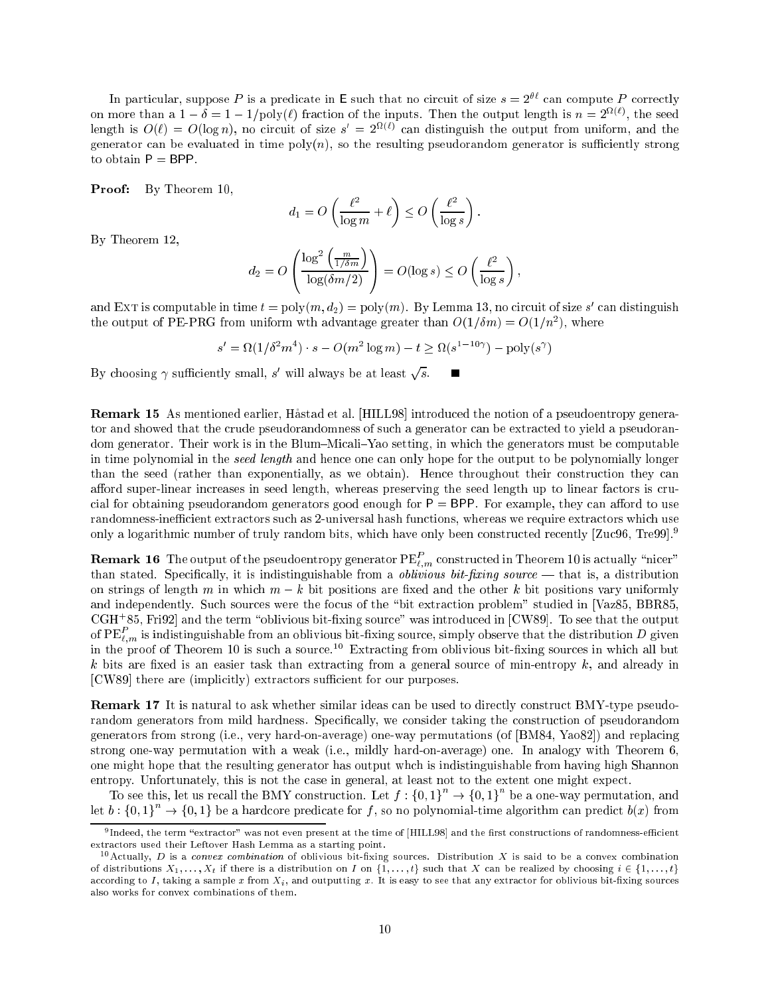In particular, suppose P is a predicate in E such that no circuit of size  $s = 2^{\theta \ell}$  can compute P correctly on more than a  $1 - \theta = 1 - 1$  (poly( $\ell$ ) fraction of the inputs. Then the output length is  $n = 2^{-(\cdot)}$ , the seed length is  $O(t) = O(\log n)$ , no circuit of size  $s = 2$   $\sim$  can distinguish the output from uniform, and the generator can be evaluated in time  $poly(n)$ , so the resulting pseudorandom generator is sufficiently strong to obtain  $P = BPP$ .

Proof: By Theorem 10,

$$
d_1 = O\left(\frac{\ell^2}{\log m} + \ell\right) \le O\left(\frac{\ell^2}{\log s}\right)
$$

By Theorem 12,

$$
d_2 = O\left(\frac{\log^2\left(\frac{m}{1/\delta m}\right)}{\log(\delta m/2)}\right) = O(\log s) \le O\left(\frac{\ell^2}{\log s}\right),\,
$$

and EXT is computable in time  $t = \text{poly}(m, a_2) = \text{poly}(m)$ . By Lemma 15, no circuit of size s-can distinguish the output of PE-PRG from uniform wth advantage greater than  $O(1/\sigma m) = O(1/m)$ , where

$$
s' = \Omega(1/\delta^2 m^4) \cdot s - O(m^2 \log m) - t \ge \Omega(s^{1-10\gamma}) - \text{poly}(s^{\gamma})
$$

By choosing  $\gamma$  sufficiently small, s' will always be at least  $\sqrt{s}$ .

Remark 15 As mentioned earlier, Hastad et al. [HILL98] introduced the notion of a pseudoentropy generator and showed that the crude pseudorandomness of such a generator can be extracted to yield a pseudorandom generator. Their work is in the Blum–Micali–Yao setting, in which the generators must be computable in time polynomial in the seed length and hence one can only hope for the output to be polynomially longer than the seed (rather than exponentially, as we obtain). Hence throughout their construction they can afford super-linear increases in seed length, whereas preserving the seed length up to linear factors is crucial for obtaining pseudorandom generators good enough for  $P = BPP$ . For example, they can afford to use randomness-inefficient extractors such as 2-universal hash functions, whereas we require extractors which use only a logarithmic number of truly random bits, which have only been constructed recently [Zuc96, Tre99].9

**Remark To** The output of the pseudoentropy generator  $PE_{\ell,m}$  constructed in Theorem 10 is actually "nicer" than stated. Specifically, it is indistinguishable from a *oblivious bit-fixing source* — that is, a distribution on strings of length m in which  $m - k$  bit positions are fixed and the other k bit positions vary uniformly and independently. Such sources were the focus of the "bit extraction problem" studied in [Vaz85, BBR85,  $CGL$   $\mathfrak{so},$  Fri92] and the term  $\mathfrak{so}$ hivious bit-hxing source was introduced in  $|C$ W89]. To see that the output of PE $_{\ell,m}$  is indistinguishable from an oblivious bit-fixing source, simply observe that the distribution  $D$  given in the proof of Theorem 10 is such a source.10 Extracting from oblivious bit-xing sources in which all but  $k$  bits are fixed is an easier task than extracting from a general source of min-entropy  $k$ , and already in [CW89] there are (implicitly) extractors sufficient for our purposes.

Remark 17 It is natural to ask whether similar ideas can be used to directly construct BMY-type pseudorandom generators from mild hardness. Specically, we consider taking the construction of pseudorandom generators from strong (i.e., very hard-on-average) one-way permutations (of [BM84, Yao82]) and replacing strong one-way permutation with a weak (i.e., mildly hard-on-average) one. In analogy with Theorem 6, one might hope that the resulting generator has output whch is indistinguishable from having high Shannon entropy. Unfortunately, this is not the case in general, at least not to the extent one might expect.

To see this, let us recall the BMY construction. Let  $f: \{0,1\}^n \to \{0,1\}^n$  be a one-way permutation, and let  $b: \{0,1\}^+ \to \{0,1\}$  be a hardcore predicate for f, so no polynomial-time algorithm can predict  $b(x)$  from

<sup>.</sup> Indeed, the term -extractor - was not even present at the time of [HILL98] and the hrst constructions of randomness-emclent extractors used their Leftover Hash Lemma as a starting point.

<sup>&</sup>lt;sup>10</sup> Actually, *D* is a convex combination of oblivious bit-fixing sources. Distribution X is said to be a convex combination of distributions  $X_1, \ldots, X_t$  if there is a distribution on I on  $\{1, \ldots, t\}$  such that X can be realized by choosing  $i \in \{1, \ldots, t\}$ according to I, taking a sample x from  $X_i$ , and outputting x. It is easy to see that any extractor for oblivious bit-fixing sources also works for convex combinations of them.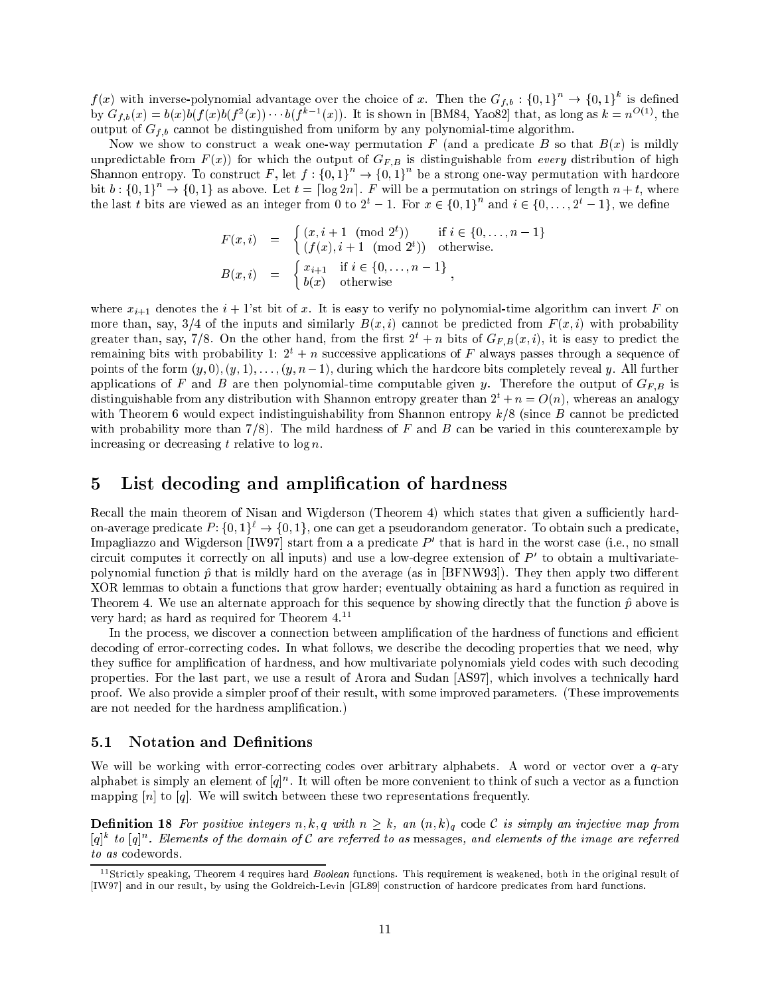$f(x)$  with inverse-polynomial advantage over the choice of x. Then the  $G_{f,b}:\{0,1\}^+\to\{0,1\}^+$  is defined by  $G_f$ <sub>b</sub>(x) =  $b(x)$ b(f(x)b(f (x)).  $\cdot \cdot \cdot$  b(f  $\cdot \cdot \cdot$  (x)). It is shown in [BM84, Yao82] that, as long as  $\kappa = n^{-1/2}$ , the output of  $G_{f,b}$  cannot be distinguished from uniform by any polynomial-time algorithm.

Now we show to construct a weak one-way permutation  $F$  (and a predicate  $B$  so that  $B(x)$  is mildly unpredictable from  $F(x)$ ) for which the output of  $G_{F,B}$  is distinguishable from every distribution of high Shannon entropy. To construct F, let  $f : \{0,1\} \rightarrow \{0,1\}$  be a strong one-way permutation with hardcore bit  $b:\{0,1\} \rightarrow \{0,1\}$  as above. Let  $t = |\log 2n|$ . F will be a permutation on strings of length  $n+t$ , where the last t bits are viewed as an integer from 0 to 2°  $-$  1. For  $x \in \{0, 1\}$  and  $i \in \{0, \ldots, 2^e-1\}$ , we define

$$
F(x, i) = \begin{cases} (x, i + 1 \pmod{2^t}) & \text{if } i \in \{0, ..., n - 1\} \\ (f(x), i + 1 \pmod{2^t}) & \text{otherwise.} \end{cases}
$$
  

$$
B(x, i) = \begin{cases} x_{i+1} & \text{if } i \in \{0, ..., n - 1\} \\ b(x) & \text{otherwise.} \end{cases}
$$

where  $x_{i+1}$  denotes the  $i + 1$ 'st bit of x. It is easy to verify no polynomial-time algorithm can invert F on more than, say, 3/4 of the inputs and similarly  $B(x, i)$  cannot be predicted from  $F(x, i)$  with probability greater than, say, 7/8. On the other hand, from the first  $2^t + n$  bits of  $G_{F,B}(x, i)$ , it is easy to predict the remaining bits with probability 1:  $2^t + n$  successive applications of F always passes through a sequence of points of the form  $(y, 0), (y, 1), \ldots, (y, n-1)$ , during which the hardcore bits completely reveal y. All further applications of F and B are then polynomial-time computable given y. Therefore the output of  $G_{FB}$  is distinguishable from any distribution with Shannon entropy greater than  $2^t + n = O(n)$ , whereas an analogy with Theorem 6 would expect indistinguishability from Shannon entropy  $k/8$  (since B cannot be predicted with probability more than  $7/8$ ). The mild hardness of F and B can be varied in this counterexample by increasing or decreasing t relative to  $\log n$ .

# 5 List decoding and amplication of hardness

Recall the main theorem of Nisan and Wigderson (Theorem 4) which states that given a sufficiently hardon-average predicate  $P: \{0,1\}^{\ell} \to \{0,1\}$ , one can get a pseudorandom generator. To obtain such a predicate,  $\rm{impagin}$ zo and Wigderson  $\rm{pW97}$  start from a a predicate  $P$  -that is hard in the worst case (i.e., no small circuit computes it correctly on all inputs) and use a low-degree extension of P <sup>0</sup> to obtain a multivariatepolynomial function  $\hat{p}$  that is mildly hard on the average (as in [BFNW93]). They then apply two different XOR lemmas to obtain a functions that grow harder; eventually obtaining as hard a function as required in Theorem 4. We use an alternate approach for this sequence by showing directly that the function  $\hat{p}$  above is very hard; as hard as required for Theorem 4.<sup>11</sup>

In the process, we discover a connection between amplification of the hardness of functions and efficient decoding of error-correcting codes. In what follows, we describe the decoding properties that we need, why they suffice for amplification of hardness, and how multivariate polynomials yield codes with such decoding properties. For the last part, we use a result of Arora and Sudan [AS97], which involves a technically hard proof. We also provide a simpler proof of their result, with some improved parameters. (These improvements are not needed for the hardness amplication.)

### 5.1 Notation and Definitions

We will be working with error-correcting codes over arbitrary alphabets. A word or vector over a q-ary alphabet is simply an element of  $|q|$  . It will often be more convenient to think of such a vector as a function mapping  $[n]$  to  $[q]$ . We will switch between these two representations frequently.

**Definition 18** For positive integers n, k, q with  $n \geq k$ , an  $(n, k)$ <sub>q</sub> code C is simply an injective map from  $|q|$  to  $|q|$ . Elements of the domain of C are referred to as messages, and elements of the image are referred to as codewords.

<sup>&</sup>lt;sup>11</sup>Strictly speaking, Theorem 4 requires hard *Boolean* functions. This requirement is weakened, both in the original result of [IW97] and in our result, by using the Goldreich-Levin [GL89] construction of hardcore predicates from hard functions.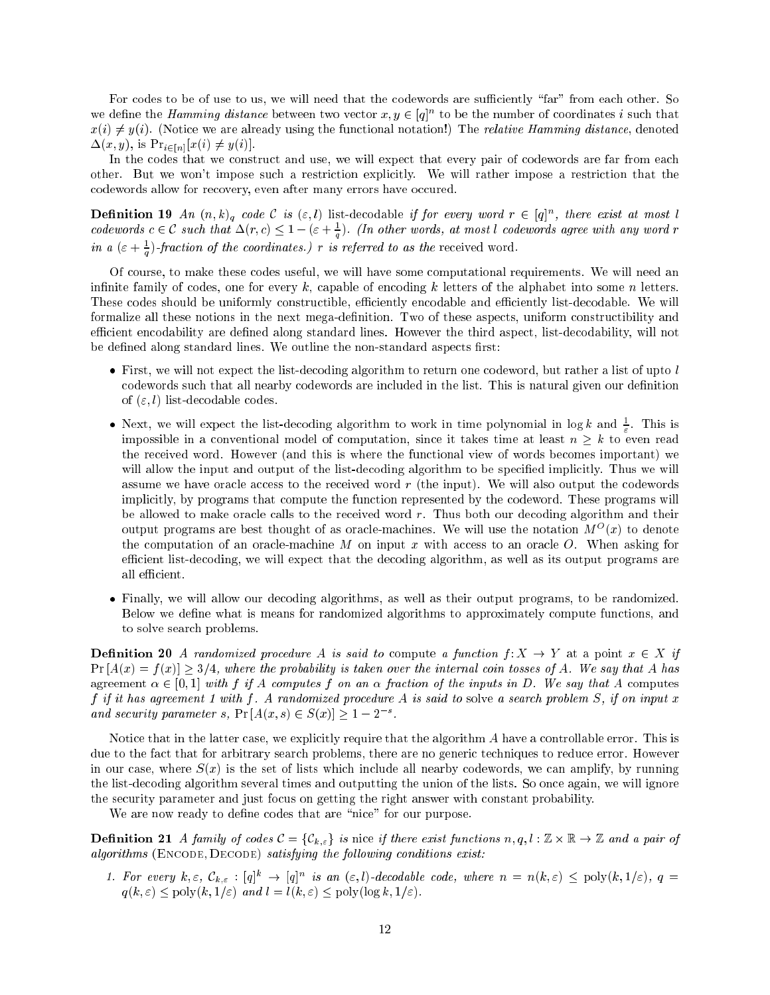For codes to be of use to us, we will need that the codewords are sufficiently "far" from each other. So we define the *Hamming aistance* between two vector  $x, y \in [q]^\sim$  to be the number of coordinates  $i$  such that  $x(i) \neq y(i)$ . (Notice we are already using the functional notation!) The *relative Hamming distance*, denoted  $\Delta(x, y)$ , is  $\Pr_{i \in [n]} [x(i) \neq y(i)]$ 

In the codes that we construct and use, we will expect that every pair of codewords are far from each other. But we won't impose such a restriction explicitly. We will rather impose a restriction that the codewords allow for recovery, even after many errors have occured.

**Definition 19** An  $(n, \kappa)_q$  code C is  $(\varepsilon, t)$  list-decodable if for every word  $r \in [q]^n$ , there exist at most l<br>codewords  $c \in C$  such that  $\Delta(r, c) \leq 1 - (\varepsilon + \frac{1}{q})$ . (In other words, at most l codewords agree with any in a  $(\varepsilon + \frac{1}{2})$ -fraction of the coordinates.) r is referred to as the received word.

 $\mathbf{v}$ 

Of course, to make these codes useful, we will have some computational requirements. We will need an infinite family of codes, one for every  $k$ , capable of encoding  $k$  letters of the alphabet into some n letters. These codes should be uniformly constructible, efficiently encodable and efficiently list-decodable. We will formalize all these notions in the next mega-definition. Two of these aspects, uniform constructibility and efficient encodability are defined along standard lines. However the third aspect, list-decodability, will not be defined along standard lines. We outline the non-standard aspects first:

- First, we will not expect the list-decoding algorithm to return one codeword, but rather a list of upto l codewords such that all nearby codewords are included in the list. This is natural given our definition of  $(\varepsilon, l)$  list-decodable codes.
- $\bullet$  inext, we will expect the list-decoding algorithm to work in time polynomial in log  $\kappa$  and  $\pm$ . This is impossible in a conventional model of computation, since it takes time at least n k to even read the received word. However (and this is where the functional view of words becomes important) we will allow the input and output of the list-decoding algorithm to be specified implicitly. Thus we will assume we have oracle access to the received word  $r$  (the input). We will also output the codewords implicitly, by programs that compute the function represented by the codeword. These programs will be allowed to make oracle calls to the received word r. Thus both our decoding algorithm and their output programs are best thought of as oracle-machines. We will use the notation  $M^-(x)$  to denote the computation of an oracle-machine  $M$  on input  $x$  with access to an oracle  $O$ . When asking for efficient list-decoding, we will expect that the decoding algorithm, as well as its output programs are all efficient.
- Finally, we will allow our decoding algorithms, as well as their output programs, to be randomized. Below we define what is means for randomized algorithms to approximately compute functions, and to solve search problems.

**Definition 20** A randomized procedure A is said to compute a function  $f: X \to Y$  at a point  $x \in X$  if  $Pr[A(x) = f(x)] \geq 3/4$ , where the probability is taken over the internal coin tosses of A. We say that A has agreement  $\alpha \in [0, 1]$  with f if A computes f on an  $\alpha$  fraction of the inputs in D. We say that A computes f if it has agreement 1 with f. A randomized procedure A is said to solve a search problem  $S$ , if on input x and security parameter s,  $\Pr[A(x, s) \in S(x)] > 1 - 2$ .

Notice that in the latter case, we explicitly require that the algorithm A have a controllable error. This is due to the fact that for arbitrary search problems, there are no generic techniques to reduce error. However in our case, where  $S(x)$  is the set of lists which include all nearby codewords, we can amplify, by running the list-decoding algorithm several times and outputting the union of the lists. So once again, we will ignore the security parameter and just focus on getting the right answer with constant probability.

We are now ready to define codes that are "nice" for our purpose.

Denition 21 A family of codes C  $\sim$  for the codes codes functions if the codes  $\sim$   $\sim$   $\sim$   $\sim$   $\sim$   $\sim$   $\sim$  $algorithms$  (ENCODE,  $DecODE$ ) satisfying the following conditions exist:

1. For every  $\kappa, \varepsilon, \mathcal{C}_{k,\varepsilon} : |q| \to |q|$  is an  $(\varepsilon, t)$ -decodable code, where  $n = n(\kappa, \varepsilon)$   $\lt$  poly $(\kappa, 1/\varepsilon)$ ,  $q =$  $q(k, \varepsilon) < \text{poly}(k, 1/\varepsilon)$  and  $l = l(k, \varepsilon) < \text{poly}(\log k, 1/\varepsilon)$ .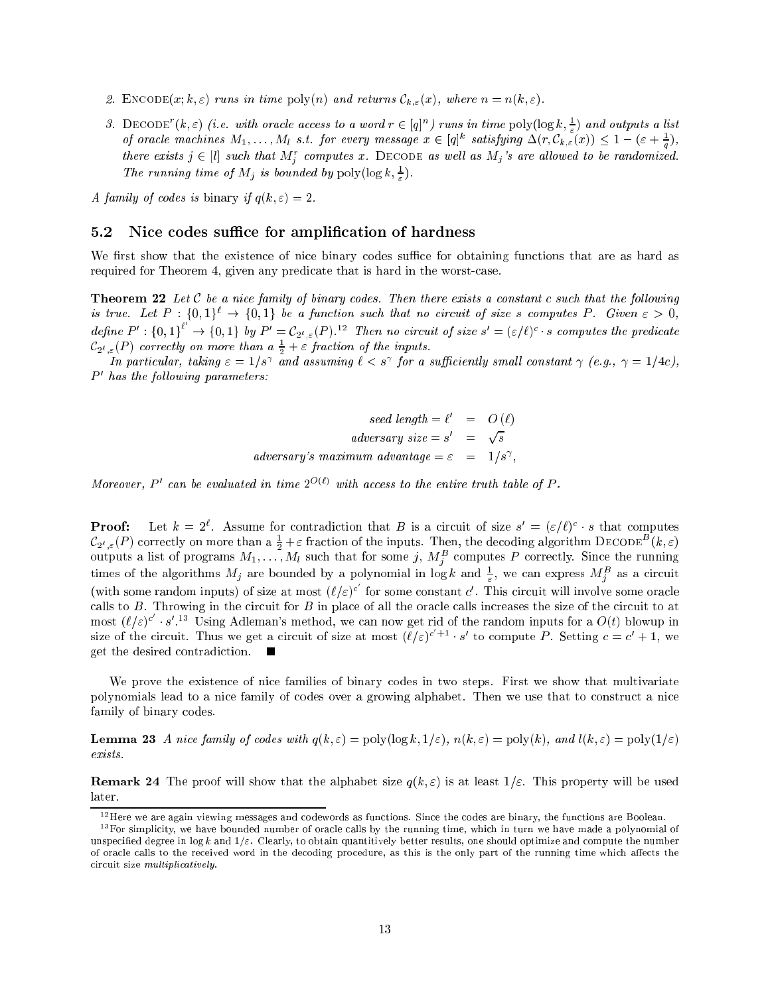- 2. ENCODE $(x; k, \varepsilon)$  runs in time poly $(n)$  and returns  $\mathcal{C}_{k,\varepsilon}(x)$ , where  $n = n(k, \varepsilon)$ .
- 3. DECODE  $(k, \varepsilon)$  (i.e. with oracle access to a word  $r \in |q|^n$ ) runs in time  $\text{poly}(\log k, \div)$  and outputs a list of oracle machines  $M_1, \ldots, M_l$  s.t. for every message  $x \in [q]^*$  satisfying  $\Delta(r, \zeta_{k,\varepsilon}(x)) \leq 1 - (\varepsilon + \frac{1}{\varepsilon})$ , there exists  $j \in [l]$  such that  $M_j^r$  computes x. DECODE as well as  $M_j$ 's are allowed to be randomized. The running time of  $M_j$  is bounded by poly(log  $\kappa$ ,  $\frac{1}{2}$ ).

A family of codes is binary if  $q(k, \varepsilon) = 2$ .

#### Nice codes suffice for amplification of hardness  $5.2$

We first show that the existence of nice binary codes suffice for obtaining functions that are as hard as required for Theorem 4, given any predicate that is hard in the worst-case.

**Theorem 22** Let C be a nice family of binary codes. Then there exists a constant c such that the following is true. Let  $P : \{0,1\}^{\ell} \to \{0,1\}$  be a function such that no circuit of size s computes P. Given  $\varepsilon > 0$ , define  $P' : \{0,1\}^t \to \{0,1\}$  by  $P' = C_{2^{\ell},\varepsilon}(P)$ .<sup>12</sup> Then no circuit of size  $s' = (\varepsilon/\ell)^c \cdot s$  computes the predicate  $\mathcal{L}_{2^{\ell},\varepsilon}(P)$  correctly on more than a  $\frac{\varepsilon}{2}+\varepsilon$  fraction of the inputs.

In particular, taking  $\varepsilon =$  1/8+ and assuming  $\iota <$  8+ for a sufficiently small constant  $\gamma$  (e.g.,  $\gamma =$  1/4c), P <sup>0</sup> has the fol lowing parameters:

> seed length  $\equiv \ell = \cup (\ell)$ adversary size =  $s' = \sqrt{s}$ adversary's maximum advantage  $=\varepsilon = 1/s^{\gamma}$ ,

Moreover, P can be evaluated in time  $2^{\gamma(\gamma)}$  with access to the entire truth table of P.

**Proof:** Let  $\kappa = 2$ . Assume for contradiction that B is a circuit of size  $s = (\varepsilon/\ell)^{-1} s$  that computes  $C_{2^\ell,\varepsilon}(P)$  correctly on more than a  $\frac{\varepsilon}{2}+\varepsilon$  fraction of the inputs. Then, the decoding algorithm DECODE"  $(\kappa,\varepsilon)$ outputs a list of programs  $m_1, \ldots, m_l$  such that for some  $j, m_{\tilde{i}}$  computes P correctly. Since the running times of the algorithms  $m_j$  are bounded by a polynomial in  $\log \kappa$  and  $\frac{1}{\epsilon}$ , we can express  $m_j^{\kappa}$  as a circuit (with some random inputs) of size at most  $(\ell/\varepsilon)^c$  for some constant c'. This circuit will involve some oracle calls to  $B$ . Throwing in the circuit for  $B$  in place of all the oracle calls increases the size of the circuit to at most  $(\ell/\varepsilon)^c \cdot s'$ . Is Using Adleman's method, we can now get rid of the random inputs for a  $O(t)$  blowup in size of the circuit. Thus we get a circuit of size at most  $(\ell/\varepsilon)^{c+1} \cdot s'$  to compute P. Setting  $c = c' + 1$ , we get the desired contradiction.

We prove the existence of nice families of binary codes in two steps. First we show that multivariate polynomials lead to a nice family of codes over a growing alphabet. Then we use that to construct a nice family of binary codes.

**Lemma 23** A nice family of codes with  $q(k, \varepsilon) = \text{poly}(\log k, 1/\varepsilon)$ ,  $n(k, \varepsilon) = \text{poly}(k)$ , and  $l(k, \varepsilon) = \text{poly}(1/\varepsilon)$ exists.

**Remark 24** The proof will show that the alphabet size  $q(k, \varepsilon)$  is at least  $1/\varepsilon$ . This property will be used later.

 $12$  Here we are again viewing messages and codewords as functions. Since the codes are binary, the functions are Boolean.

<sup>&</sup>lt;sup>13</sup> For simplicity, we have bounded number of oracle calls by the running time, which in turn we have made a polynomial of unspecified degree in  $\log k$  and  $1/\varepsilon$ . Clearly, to obtain quantitively better results, one should optimize and compute the number of oracle calls to the received word in the decoding procedure, as this is the only part of the running time which affects the circuit size multiplicatively.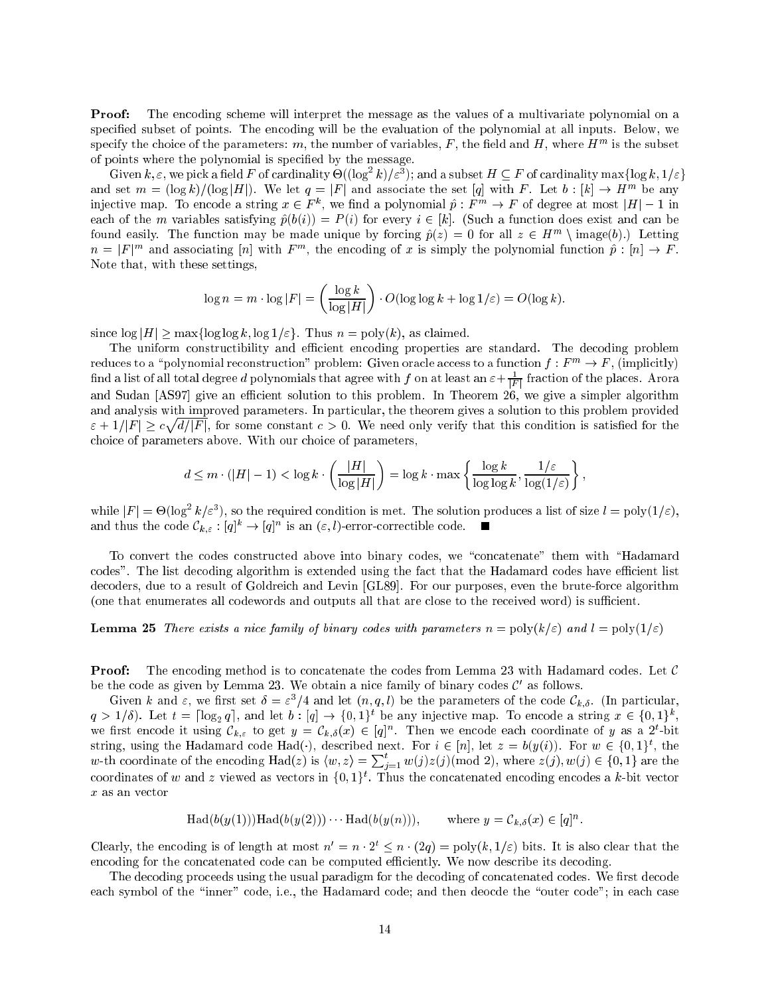The encoding scheme will interpret the message as the values of a multivariate polynomial on a Proof: specied subset of points. The encoding will be the evaluation of the polynomial at all inputs. Below, we specify the choice of the parameters:  $m$ , the number of variables,  $F$  , the held and  $H$  , where  $H^{m}$  is the subset of points where the polynomial is specied by the message.

Given  $\kappa, \varepsilon$ , we pick a field F of cardinality  $\Theta((\log|\kappa|/\varepsilon^*)$ ; and a subset  $H \subseteq F$  of cardinality max{log  $\kappa, 1/\varepsilon$ } and set  $m = (\log k)/(\log |H|)$ . We let  $q = |F|$  and associate the set [q] with F. Let  $b : |k| \to H^{\dots}$  be any injective map. To encode a string  $x \in F$  , we find a polynomial  $p : F$   $\rightarrow$  F of degree at most  $|H| = 1$  in each of the m variables satisfying  $\hat{p}(b(i)) = P(i)$  for every  $i \in [k]$ . (Such a function does exist and can be found easily. The function may be made unique by forcing  $p(z) = 0$  for all  $z \in H^{\frac{m}{2}} \setminus \max(e(\theta)).$  Letting  $n = |F|$  and associating  $|n|$  with  $F^{\sim}$ , the encoding of x is simply the polynomial function  $p : |n| \to F$ . Note that, with these settings,

$$
\log n = m \cdot \log |F| = \left(\frac{\log k}{\log |H|}\right) \cdot O(\log \log k + \log 1/\varepsilon) = O(\log k).
$$

since  $\log|H| > \max\{\log \log k, \log 1/\varepsilon\}$ . Thus  $n = \text{poly}(k)$ , as claimed.

The uniform constructibility and efficient encoding properties are standard. The decoding problem reduces to a "polynomial reconstruction" problem: Given oracle access to a function  $f : F^m \to F$ , (implicitly) find a list of all total degree  $a$  polynomials that agree with  $f$  on at least an  $\varepsilon + \frac{F}{|F|}$  fraction of the places. Arora and Sudan [AS97] give an efficient solution to this problem. In Theorem 26, we give a simpler algorithm and analysis with improved parameters. In particular, the theorem gives a solution to this problem provided " + 1=jF <sup>j</sup> c provided and the state of the state of definition of the some constant constant constant constant condition is satisfactor in the satisfactor is satisfactor in the satisfactor is satisfactor in the satisfactor in the satisfactor in the satisfactor is satisfact choice of parameters above. With our choice of parameters,

$$
d \leq m \cdot (|H| - 1) < \log k \cdot \left(\frac{|H|}{\log |H|}\right) = \log k \cdot \max\left\{\frac{\log k}{\log \log k}, \frac{1/\varepsilon}{\log(1/\varepsilon)}\right\},
$$

while  $|F| = \Theta(\log^+ \kappa/\varepsilon^*)$ , so the required condition is met. The solution produces a list of size  $\ell = \text{poly}(1/\varepsilon)$ , and thus the code  $C_{k,\varepsilon} : |q|^n \to |q|^n$  is an  $(\varepsilon, t)$ -error-correctible code.

To convert the codes constructed above into binary codes, we "concatenate" them with "Hadamard codes". The list decoding algorithm is extended using the fact that the Hadamard codes have efficient list decoders, due to a result of Goldreich and Levin [GL89]. For our purposes, even the brute-force algorithm (one that enumerates all codewords and outputs all that are close to the received word) is sufficient.

### **Lemma 25** There exists a nice family of binary codes with parameters  $n = poly(k/\varepsilon)$  and  $l = poly(1/\varepsilon)$

**Proof:** The encoding method is to concatenate the codes from Lemma 23 with Hadamard codes. Let  $\mathcal{C}$ be the code as given by Lemma  $25$ . We obtain a filte family of binary codes  $C$  as follows.

Given k and  $\varepsilon$ , we hist set  $\sigma = \varepsilon$  /4 and let  $(n, q, t)$  be the parameters of the code  $C_{k, \delta}$ . (In particular,  $q > 1/6$ ). Let  $t = |log_2 q|$ , and let  $b : |q| \rightarrow \{0, 1\}^c$  be any injective map. To encode a string  $x \in \{0, 1\}^c$ , we first encode it using  $C_{k,\varepsilon}$  to get  $y = C_{k,\delta}(x) \in |q|^{n}$ . Then we encode each coordinate of y as a 2-bit string, using the Hadamard code Had(), described next. For  $i \in [n]$ , let  $z = o(y(i))$ . For  $w \in \{0,1\}$ , the w-th coordinate of the encoding  $\text{Had}(z)$  is  $\langle w, z \rangle = \sum_{i=1}^t w(j)z(j) \pmod{2}$ , where  $z(j), w(j) \in \{0, 1\}$  are the coordinates of  $w$  and  $z$  viewed as vectors in  $\{0,1\}$  . Thus the concatenated encoding encodes a  $\kappa$ -bit vector x as an vector

$$
\text{Had}(b(y(1)))\text{Had}(b(y(2))) \qquad \text{Had}(b(y(n))), \qquad \text{where } y = \mathcal{C}_{k,\delta}(x) \in [q]^n.
$$

Clearly, the encoding is of length at most  $n' = n \cdot 2^t \leq n \cdot (2q) = \text{poly}(k, 1/\varepsilon)$  bits. It is also clear that the encoding for the concatenated code can be computed efficiently. We now describe its decoding.

The decoding proceeds using the usual paradigm for the decoding of concatenated codes. We first decode each symbol of the "inner" code, i.e., the Hadamard code; and then deocde the "outer code"; in each case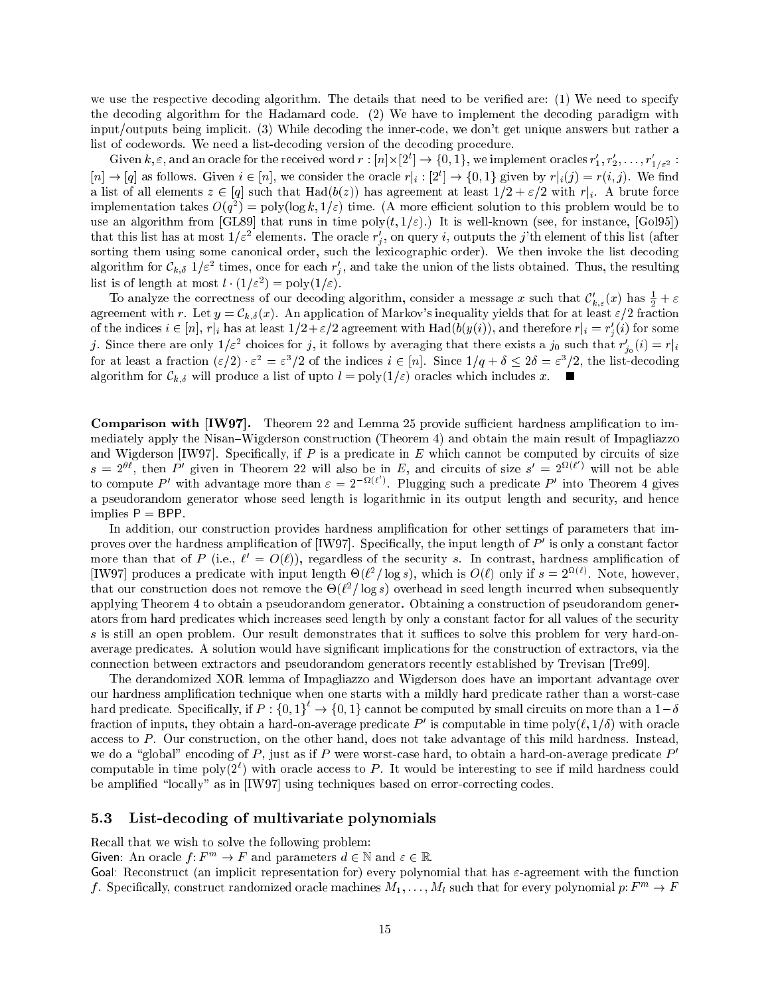we use the respective decoding algorithm. The details that need to be veried are: (1) We need to specify the decoding algorithm for the Hadamard code. (2) We have to implement the decoding paradigm with input/outputs being implicit. (3) While decoding the inner-code, we don't get unique answers but rather a list of codewords. We need a list-decoding version of the decoding procedure.

Given  $\kappa, \varepsilon$ , and an oracle for the received word  $r : [n] \times [2^r] \to \{0, 1\}$ , we implement oracles  $r_1, r_2, \ldots, r_{1/\varepsilon^2}$  :  $|n| \to |q|$  as follows. Given  $i \in |n|$ , we consider the oracle  $r|_i : |z| \to \{0,1\}$  given by  $r|_i(j) \equiv r(i,j)$ . We find a list of all elements  $\mathcal{N} \setminus H$  in that  $\mathcal{N}$  is a with right right. The right right right right right right right right right right right right right right right right right right right right right right right rig implementation takes  $O(q_{\perp}) = \text{poly}(\log \kappa, 1/\varepsilon)$  time. (A more eniclent solution to this problem would be to use an algorithm from  $[GL89]$  that runs in time poly $(t, 1/\varepsilon)$ .) It is well-known (see, for instance,  $[Gol95]$ ) that this list has at most  $1/\varepsilon^2$  elements. The oracle  $r_j'$ , on query i, outputs the j'th element of this list (after sorting them using some canonical order, such the lexicographic order). We then invoke the list decoding algorithm for  $C_{k,\delta}$  1/ $\varepsilon^-$  times, once for each  $r_j,$  and take the union of the fists obtained. Thus, the resulting  $\cdot$ ist is of length at most  $\ell^+(1/\varepsilon^-) = \text{poly}(1/\varepsilon)$ .

To analyze the correctness of our decoding algorithm, consider a message x such that  $c_{k,\varepsilon}(x)$  has  $\frac{1}{2} + \varepsilon$ agreement with r. Let  $y = C_{k,\delta}(x)$ . An application of Markov's inequality yields that for at least  $\varepsilon/2$  fraction of the indices  $i\in [n],$   $r|_i$  has at least  $1/2+\varepsilon/2$  agreement with Had( $\sigma(y(i))$ ), and therefore  $r|_i=r_j(i)$  for some ). Since there are only  $1/\varepsilon$  -choices for j, it follows by averaging that there exists a j0 such that  $r_{j_0}(i)=r|_i$ for at least a fraction  $(\varepsilon/2) \cdot \varepsilon^- = \varepsilon^-/2$  of the indices  $i \in [n]$ . Since  $1/q + \theta \leq 2\theta = \varepsilon^-/2$ , the list-decoding algorithm for  $\mathcal{C}_{k,\delta}$  will produce a list of upto  $l = \text{poly}(1/\varepsilon)$  oracles which includes x.

**Comparison with [IW97].** Theorem 22 and Lemma 25 provide sufficient hardness amplification to immediately apply the Nisan-Wigderson construction (Theorem 4) and obtain the main result of Impagliazzo and Wigderson [IW97]. Specifically, if  $P$  is a predicate in  $E$  which cannot be computed by circuits of size  $s = 2^{bt}$ , then P' given in Theorem 22 will also be in E, and circuits of size  $s' = 2^{t/(t)}$  will not be able to compute P' with advantage more than  $\varepsilon = 2^{-\Omega(\ell)}$ . Plugging such a predicate P' into Theorem 4 gives a pseudorandom generator whose seed length is logarithmic in its output length and security, and hence implies  $P = BPP$ .

In addition, our construction provides hardness amplication for other settings of parameters that improves over the hardness amplification of  $|1 \text{W97}|$ . Specifically, the input length of  $P$  is only a constant factor more than that of P (i.e.,  $\ell^+ = O(\ell)$ ), regardless of the security s. In contrast, hardness amplification of  $\mu$  we all produces a predicate with input length  $\Theta(t^-/10g\,s)$ , which is  $O(t)$  only if  $s = 2$  . To ee, however, that our construction does not remove the  $\Theta(t^-$  log s) overhead in seed length incurred when subsequently applying Theorem 4 to obtain a pseudorandom generator. Obtaining a construction of pseudorandom generators from hard predicates which increases seed length by only a constant factor for all values of the security s is still an open problem. Our result demonstrates that it suffices to solve this problem for very hard-onaverage predicates. A solution would have significant implications for the construction of extractors, via the connection between extractors and pseudorandom generators recently established by Trevisan [Tre99].

The derandomized XOR lemma of Impagliazzo and Wigderson does have an important advantage over our hardness amplication technique when one starts with a mildly hard predicate rather than a worst-case hard predicate. Specifically, if  $P: \{0,1\} \rightarrow \{0,1\}$  cannot be computed by small circuits on more than a  $1-\delta$ fraction of inputs, they obtain a hard-on-average predicate  $P$  -is computable in time poly( $\ell,1/\theta$ ) with oracle access to  $P$ . Our construction, on the other hand, does not take advantage of this mild hardness. Instead, we do a "global" encoding of P, just as if P were worst-case hard, to obtain a hard-on-average predicate  $P'$ computable in time  $\text{poly}(2^+)$  with oracle access to  $P$ . It would be interesting to see if mild hardness could be amplified "locally" as in [IW97] using techniques based on error-correcting codes.

#### $5.3$ List-decoding of multivariate polynomials

Recall that we wish to solve the following problem:

Given: An oracle  $f: F^m \to F$  and parameters  $d \in \mathbb{N}$  and  $\varepsilon \in \mathbb{R}$ .

Goal: Reconstruct (an implicit representation for) every polynomial that has  $\varepsilon$ -agreement with the function f. Specifically, construct randomized oracle machines  $M_1, \ldots, M_l$  such that for every polynomial p:  $F^m \to F$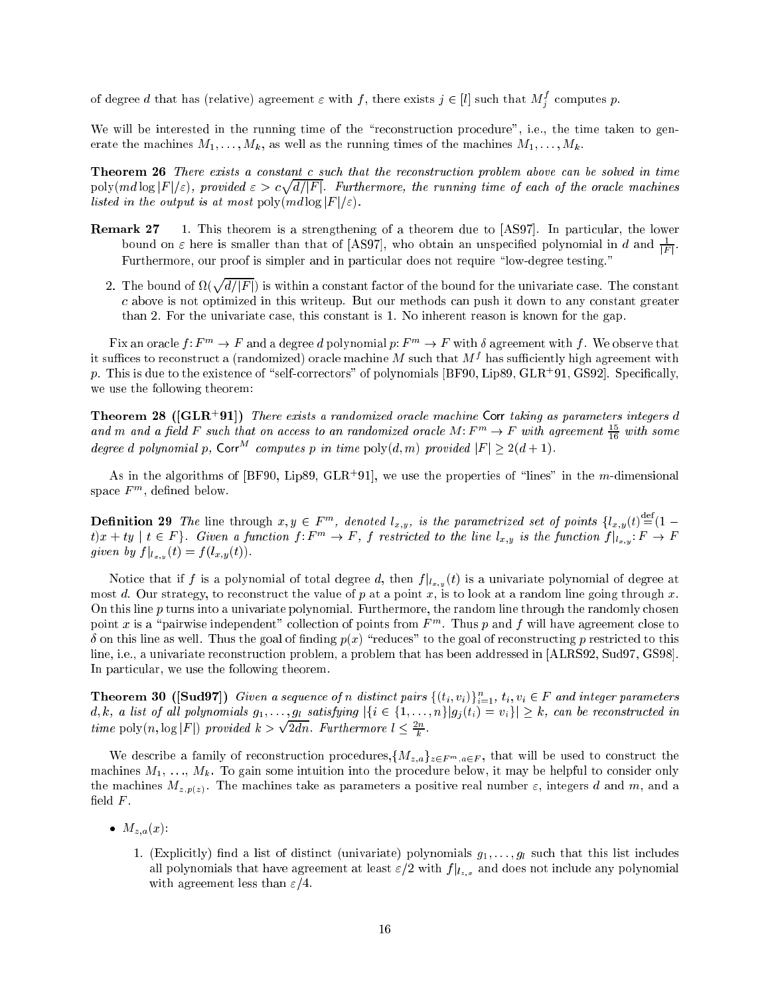of degree  $d$  that has (relative) agreement  $\varepsilon$  with  $f,$  there exists  $j \in [l]$  such that  $M^s_j$  computes  $p.$ 

We will be interested in the running time of the "reconstruction procedure", i.e., the time taken to generate the machines  $M_1, \ldots, M_k$ , as well as the running times of the machines  $M_1, \ldots, M_k$ .

Theorem 26 There exists a constant c such that the reconstruction problem above can be solved in time poly(md log jF j="), provided " > c provided and the state of the state of the d=jF j. Furthermore, the running time of the oracle machines of the oracle machines of the oracle machines  $\mu$ listed in the output is at most poly $(md \log |F|/\varepsilon)$ .

- Remark 27 1. This theorem is a strengthening of a theorem due to [AS97]. In particular, the lower bound on  $\varepsilon$  here is smaller than that of [AS97], who obtain an unspecified polynomial in  $a$  and  $\frac{F}{|F|}$ . Furthermore, our proof is simpler and in particular does not require "low-degree testing."
	- 2. The bound of  $\Omega(\sqrt{d/|F|})$  is within a constant factor of the bound for the univariate case. The constant c above is not optimized in this writeup. But our methods can push it down to any constant greater than 2. For the univariate case, this constant is 1. No inherent reason is known for the gap.

Fix an oracle  $f: F^m \to F$  and a degree d polynomial p:  $F^m \to F$  with  $\delta$  agreement with f. We observe that  $\mu$  suffices to reconstruct a (randomized) oracle machine  $m$  such that  $m$   $\epsilon$  has sufficiently high agreement with  $p$ . This is que to the existence of  $\,$  self-correctors – of polynomials [BF90, Lipe9, GLR+91, GS92]. Specifically, we use the following theorem:

**Theorem 28 ([GLR+91])** There exists a randomized oracle machine Corr taking as parameters integers d and  $m$  and a jield F such that on access to an randomized oracle M: F  $\rightarrow$  F with agreement  $\frac{1}{16}$  with some degree d polynomial p, Corr<sup>M</sup> computes p in time  $\text{poly}(d,m)$  provided  $|F| > 2(d+1)$ .

As in the algorithms of  $|{\tt D}{\tt F}$ 90, Lip $\circ$ 9, GLR+91], we use the properties of  $\lceil$  lines  $\lceil$  in the  $m$ -dimensional space  $\scriptstyle F$  m, denned below.

**Definition 29** The line through  $x, y \in F^m$ , denoted  $l_{x,y}$ , is the parametrized set of points  $\{l_{x,y}(t) = (1$  $t(x+y)$   $t \in F$  f. Given a function f:  $F \rightarrow F$ , f restricted to the time  $t_{x,y}$  is the function  $f|_{t_{x,y}}$ :  $F \rightarrow F$  $\mathcal{J}$  for  $\mathcal{J}$  , i.e.,  $\mathcal{J}$  ,  $\mathcal{J}$  ,  $\mathcal{J}$  ,  $\mathcal{J}$  ,  $\mathcal{J}$  ,  $\mathcal{J}$  ,  $\mathcal{J}$  ,  $\mathcal{J}$  ,  $\mathcal{J}$  ,  $\mathcal{J}$  ,  $\mathcal{J}$  ,  $\mathcal{J}$  ,  $\mathcal{J}$  ,  $\mathcal{J}$  ,  $\mathcal{J}$  ,  $\mathcal{J}$  ,  $\mathcal{J}$  ,  $\mathcal$ 

Notice that if  $f$  is a polynomial of total degree  $\beta$  is a unit  $f(x,y$  ( ) is a university  $p$  is also degree at most d. Our strategy, to reconstruct the value of p at a point x, is to look at a random line going through x. On this line  $p$  turns into a univariate polynomial. Furthermore, the random line through the randomly chosen point x is a  $\beta$  pairwise independent collection of points from F m. Thus p and f will have agreement close to  $\delta$  on this line as well. Thus the goal of finding  $p(x)$  "reduces" to the goal of reconstructing p restricted to this line, i.e., a univariate reconstruction problem, a problem that has been addressed in [ALRS92, Sud97, GS98]. In particular, we use the following theorem.

**Theorem 30** ([Sud97]) Given a sequence of n aistinct pairs  $\{(t_i, v_i)\}_{i=1}^{\infty}$ ,  $t_i, v_i \in F$  and integer parameters d, k, a list of all polynomials  $g_1, \ldots, g_l$  satisfying  $|\{i \in \{1, \ldots, n\} | g_j(t_i) = v_i\}| \geq k$ , can be reconstructed in time positive polygraphy  $\mathbb{F}$  ,  $\mathbb{F}$  is the set of  $\mathbb{F}$  $\sqrt{2dn}$ . Furthermore  $l < \frac{2n}{h}$ .

We describe a family of reconstruction procedures,  $\{M_{z,a}\}_{z\in F^m, a\in F}$ , that will be used to construct the machines  $M_1, \ldots, M_k$ . To gain some intuition into the procedure below, it may be helpful to consider only the machines  $M_{z,p(z)}$ . The machines take as parameters a positive real number  $\varepsilon$ , integers d and m, and a field  $F$ .

- $M_{z,a}(x)$ :
	- 1. (Explicitly) find a list of distinct (univariate) polynomials  $g_1, \ldots, g_l$  such that this list includes all polynomials that have agreement at least "=2 with f <sup>j</sup> lz;x and does not include any polynomial with agreement less than  $\varepsilon/4$ .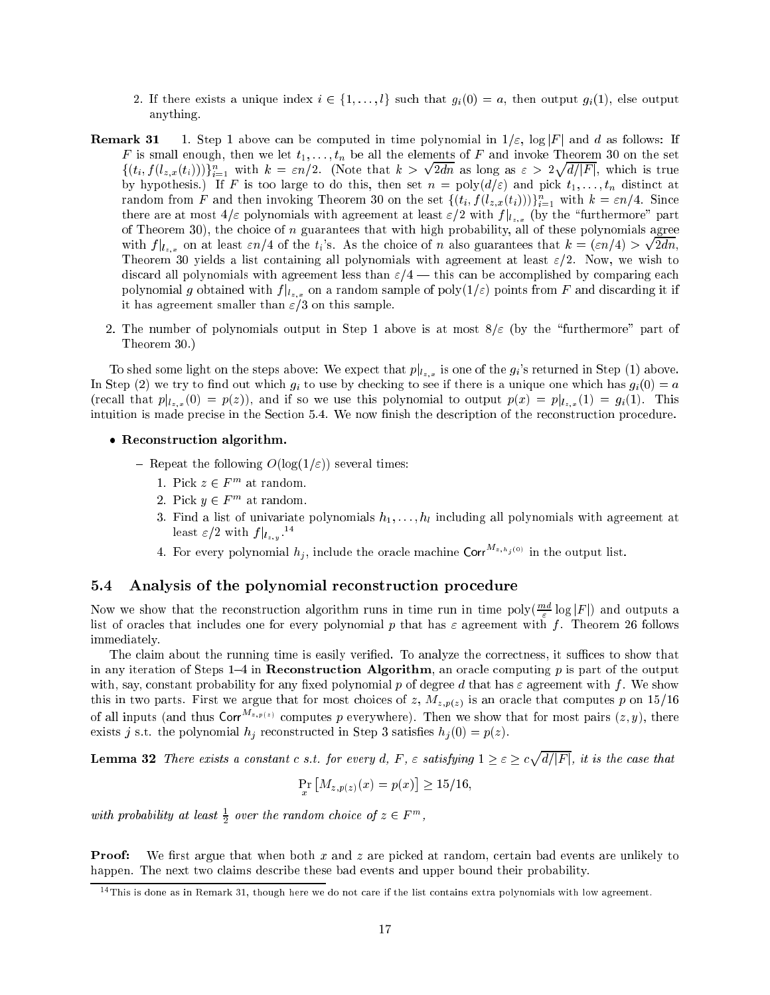- 2. If there exists a unique index  $i \in \{1, \ldots, l\}$  such that  $g_i(0) = a$ , then output  $g_i(1)$ , else output anything.
- **Remark 31** 1. Step 1 above can be computed in time polynomial in  $1/\varepsilon$ ,  $\log|F|$  and d as follows: If F is small enough, then we let  $t_1, \ldots, t_n$  be all the elements of F and invoke Theorem 30 on the set  $\{(t_i, f(t_{z,x}(t_i)))\}_{i=1}^{\infty}$  with  $\kappa = \varepsilon n/2$ . (Note that  $\kappa >$ provide a series of the contract of the contract of the contract of the contract of the contract of the contract of the contract of the contract of the contract of the contract of the contract of the contract of the contra  $2d$ n as  $2d$ n as  $2d$ n as  $2d$ n as  $2d$ n as  $2d$ n as  $2d$ n as  $2d$ n as  $2d$ n as  $2d$ n as  $2d$ n as  $2d$ n as  $2d$ n as  $2d$ n as  $2d$ n as  $2d$ n as  $2d$ n as  $2d$ n as  $2d$ n as  $2d$ n as  $2d$ n as  $2d$ n as  $2d$ n as  $2d$ n as  $2d$ n provided and the state of the state of the  $\cdots$  j, and it is the internal internal internal internal internal internal internal internal internal internal internal internal internal internal internal internal internal internal internal internal internal internal by hypothesis.) If F is too large to do this, then set  $n = poly(d/\varepsilon)$  and pick  $t_1, \ldots, t_n$  distinct at random from F and then invoking Theorem 30 on the set  $\{(t_i, J(t_{z,x}(t_i)))\}_{i=1}^{\infty}$  with  $\kappa = \varepsilon n/4$ . Since there are at most 4=" polynomials with agreement at least "=2 with f <sup>j</sup> lz;x (by the \furthermore" part of Theorem 30), the choice of  $n$  guarantees that with high probability, all of these polynomials agree with  $f|_{l_{z,x}}$  on at least  $\varepsilon n/4$  of the  $t_i$ 's. As the choice of n also guarantees that  $k = \frac{\varepsilon n}{4} > \sqrt{2}$ 2dn, Theorem 30 yields a list containing all polynomials with agreement at least  $\varepsilon/2$ . Now, we wish to discard all polynomials with agreement less than  $\varepsilon/4$  — this can be accomplished by comparing each polynomial g obtained with f <sup>j</sup> lz;x on <sup>a</sup> random sample of poly(1=") points from <sup>F</sup> and discarding it if it has agreement smaller than  $\varepsilon/3$  on this sample.
	- 2. The number of polynomials output in Step 1 above is at most  $8/\varepsilon$  (by the "furthermore" part of Theorem 30.)

To shed some light on the steps above: We expect that  $p|_{l_{z,x}}$  is one of the  $g_i$ 's returned in Step (1) above. In Step (2) we try to find out which  $g_i$  to use by checking to see if there is a unique one which has  $g_i(0) = a$ (recall that  $\Gamma$  is  $x$  ), and if  $\Gamma$  if so we use the polynomial to output  $\Gamma$  (x)  $\Gamma$  is  $x$  ),  $\Gamma$  is  $y$ intuition is made precise in the Section 5.4. We now finish the description of the reconstruction procedure.

- Reconstruction algorithm.
	- Repeat the following  $O(\log(1/\varepsilon))$  several times:
		- 1. FICK  $z \in F$  at random.
		- $\Delta$ . Pick  $y \in F$  at random.
		- 3. Find a list of univariate polynomials  $h_1, \ldots, h_l$  including all polynomials with agreement at least  $\varepsilon/2$  with  $f\|_{l_{z,y}}$  .
		- 4. For every polynomial  $h_j$ , include the oracle machine Corr $^{M_{z,h_j(0)}}$  in the output list.

### 5.4 Analysis of the polynomial reconstruction procedure

Now we show that the reconstruction algorithm runs in time run in time poly( $\rightleftharpoons$  log  $|F|$ ) and outputs a " list of oracles that includes one for every polynomial p that has " agreement with f . Theorem 26 follows immediately.

The claim about the running time is easily verified. To analyze the correctness, it suffices to show that in any iteration of Steps 1-4 in Reconstruction Algorithm, an oracle computing  $p$  is part of the output with, say, constant probability for any fixed polynomial p of degree d that has  $\varepsilon$  agreement with f. We show this in two parts. First we argue that for most choices of z,  $M_{z,p(z)}$  is an oracle that computes p on 15/16 of all inputs (and thus  $\text{Corr}^{M_{z,p(z)}}$  computes p everywhere). Then we show that for most pairs  $(z, y)$ , there exists j s.t. the polynomial  $h_j$  reconstructed in Step 3 satisfies  $h_j(0) = p(z)$ .

Lemma 32 There exists a constant c s.t. for every d, F , " satisfying 1 " c provided and the state of the state of the  $\cdots$  j=  $\cdots$  , it is the case that

$$
\Pr_{x} \left[ M_{z,p(z)}(x) = p(x) \right] \ge 15/16,
$$

with provability at least  $\frac{1}{2}$  over the random choice of  $z \in F^m$ ,

**Proof:** We first argue that when both x and z are picked at random, certain bad events are unlikely to happen. The next two claims describe these bad events and upper bound their probability.

 $14$ This is done as in Remark 31, though here we do not care if the list contains extra polynomials with low agreement.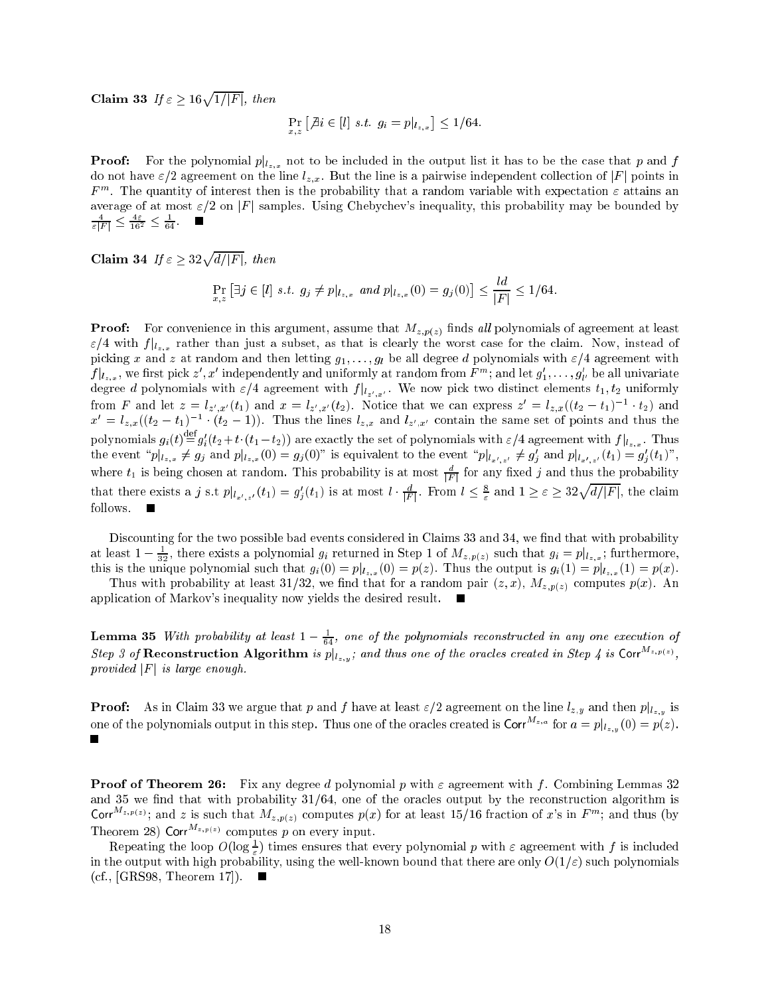Claim 33 If  $\varepsilon > 16\sqrt{1/|F|}$ , then

$$
\Pr_{x,z} [\nexists i \in [l] \; s.t. \; g_i = p|_{l_{z,x}}] \leq 1/64.
$$

 $\Gamma$  is a conomial polynomial polynomial polynomial phase that polynomial parameters is that polynomial polynomial problem in the case of  $\Gamma$  and for  $\Gamma$ do not have  $\varepsilon/2$  agreement on the line  $l_{z,x}$ . But the line is a pairwise independent collection of  $|F|$  points in  $r$  m. The quantity of interest then is the probability that a random variable with expectation  $\varepsilon$  attains an average of at most  $\varepsilon/2$  on  $|F|$  samples. Using Chebychev's inequality, this probability may be bounded by  $\sqrt{\varepsilon F}$   $\geq \frac{16^2}{16^2}$   $\geq \frac{1}{64}$ .

Claim 34 If  $\varepsilon > 32\sqrt{d/|F|}$ , then

$$
\Pr_{x,z} [\exists j \in [l] \ s.t. \ g_j \neq p|_{l_{z,x}} \ and \ p|_{l_{z,x}}(0) = g_j(0)] \leq \frac{l}{|F|} \leq 1/64.
$$

**Proof:** For convenience in this argument, assume that  $M_{z,p(z)}$  finds all polynomials of agreement at least  $\sim$   $\mu$  is the function compact  $\mu$  and is clearly the worst case for the compact case for the claim. Now, instead of picking x and z at random and then letting  $g_1, \ldots, g_l$  be all degree d polynomials with  $\varepsilon/4$  agreement with  $f\vert l_{z,x},$  we first pick  $z$  ,  $x$  -independently and unflormly at random from  $F$  "; and let  $g_1,\ldots,g_p$  be all univariate degree diplomatic with  $\frac{1}{2}$  and  $\frac{1}{2}$  . We now pick the normalization of  $\frac{1}{2}$  uniformly distinct elements to  $\frac{1}{2}$ from F and let  $z = \iota_{z',x'}(t_1)$  and  $x = \iota_{z',x'}(t_2)$ . Notice that we can express  $z = \iota_{z,x}((t_2 - t_1)^{1-\epsilon}t_2)$  and  $x^0 = t_{z,x}((t_2 - t_1)^{-1} \cdot (t_2 - 1))$ . Thus the lines  $t_{z,x}$  and  $t_{z',x'}$  contain the same set of points and thus the polynomials  $g_i(t) \equiv g'_i(t_2+t \cdot (t_1-t_2))$  are exactly the set of polynomials with  $\varepsilon/4$  agreement with  $f|_{t_{z,x}}$ . Thus the event  $\|p\|_{L_x,x} \neq g_j$  and  $p\|_{L_x,x}(0) = g_j(0)$  is equivalent to the event  $\|p\|_{L_x^r,x'} \neq g_j$  and  $p\|_{L_x^r,x'}$   $(t_1) = g_j(t_1)$ , where  $t_1$  is being chosen at random. This probability is at most  $\frac{r}{|F|}$  for any fixed  $j$  and thus the probability that there exists a j s.t  $p|_{l_{x',z'}}(t_1) = g'_j(t_1)$  is at most  $l \cdot \frac{d}{|F|}$ . From  $l \leq \frac{8}{\varepsilon}$  and  $1 \geq \varepsilon \geq 32\sqrt{d/|F|}$ , the claim follows.

Discounting for the two possible bad events considered in Claims 33 and 34, we find that with probability at least  $1-\frac{1}{32}$ , there exists a polynomial  $g_i$  returned in Step 1 of  $M_{z,p(z)}$  such that  $g_i=p_{|l_{z,x}}$ ; furthermore, this is the unique polynomial such that gi(0) = pj lz;x (0) <sup>=</sup> p(z). Thus the output is gi(1) <sup>=</sup> pj lz;x (1) <sup>=</sup> p(x).

Thus with probability at least 31/32, we find that for a random pair  $(z, x)$ ,  $M_{z,p(z)}$  computes  $p(x)$ . An application of Markov's inequality now yields the desired result.  $\sim$ 

**Lemma 35** With provavility at least  $1 - \frac{1}{64}$ , one of the polynomials reconstructed in any one execution of Step 3 of Reconstruction Algorithm is  $p|_{l_{z,y}}$ ; and thus one of the oracles created in Step 4 is Corr<sup>M<sub>2, p(2)</sub>,</sup> provided  $|F|$  is large enough.

 $P$  is a in the claim 33 we argue that  $p$  and  $j$  in the line line line large that is and the line large  $p$  is  $y$  is one of the polynomials output in this step. Thus one of the oracles created is Corr<sup>m</sup><sup>2,a</sup> for  $a = p|_{l_{z,y}}(0) = p(z)$ .  $\blacksquare$ 

**Proof of Theorem 26:** Fix any degree d polynomial p with  $\varepsilon$  agreement with f. Combining Lemmas 32 and 35 we find that with probability  $31/64$ , one of the oracles output by the reconstruction algorithm is Corr<sup>M<sub>z;p(z)</sub>; and z is such that  $M_{z,p(z)}$  computes  $p(x)$  for at least 15/16 fraction of x's in  $F<sup>m</sup>$ ; and thus (by</sup> Theorem 28) Corr<sup> $M_{z,p(z)}$ </sup> computes p on every input.

Repeating the loop  $O(\log \epsilon)$  times ensures that every polynomial  $p$  with  $\varepsilon$  agreement with  $f$  is included in the output with high probability, using the well-known bound that there are only O(1=") such polynomials (cf., [GRS98, Theorem 17]).  $\blacksquare$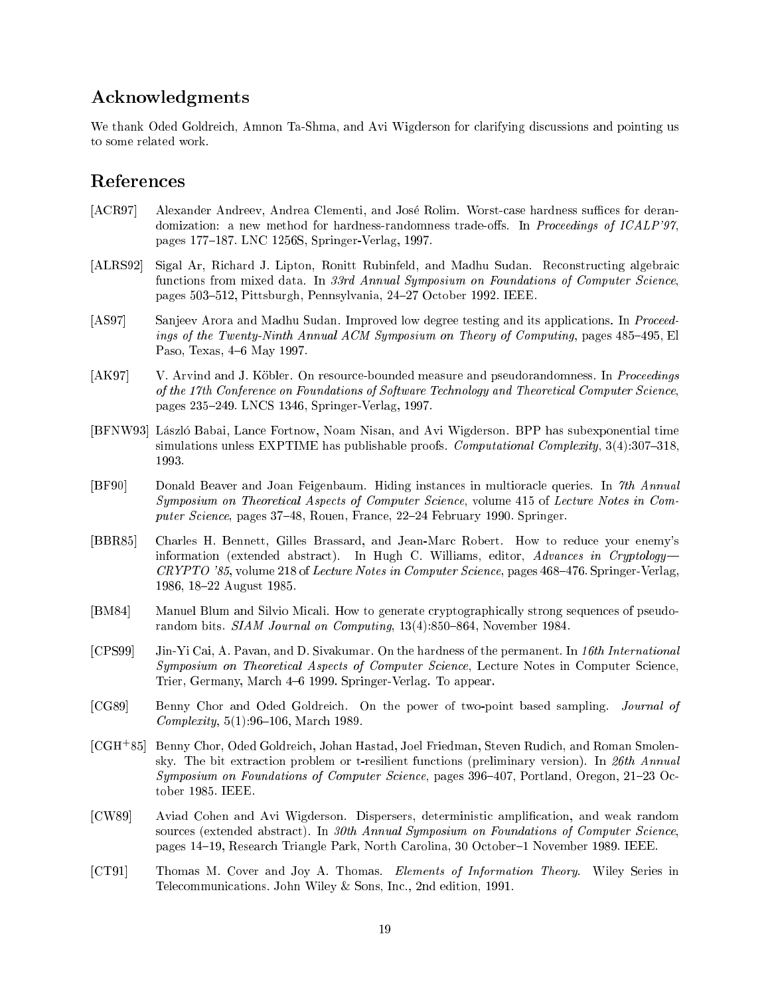# Acknowledgments

We thank Oded Goldreich, Amnon Ta-Shma, and Avi Wigderson for clarifying discussions and pointing us to some related work.

# References

- [ACR97] Alexander Andreev, Andrea Clementi, and José Rolim. Worst-case hardness suffices for derandomization: a new method for hardness-randomness trade-offs. In Proceedings of  $ICALP'$ 97, pages 177-187. LNC 1256S, Springer-Verlag, 1997.
- [ALRS92] Sigal Ar, Richard J. Lipton, Ronitt Rubinfeld, and Madhu Sudan. Reconstructing algebraic functions from mixed data. In 33rd Annual Symposium on Foundations of Computer Science, pages 503-512, Pittsburgh, Pennsylvania, 24-27 October 1992. IEEE.
- [AS97] Sanjeev Arora and Madhu Sudan. Improved low degree testing and its applications. In Proceedings of the Twenty-Ninth Annual ACM Symposium on Theory of Computing, pages  $485-495$ , El Paso, Texas, 4-6 May 1997.
- [AK97] V. Arvind and J. Köbler. On resource-bounded measure and pseudorandomness. In Proceedings of the 17th Conference on Foundations of Software Technology and Theoretical Computer Science, pages 235-249. LNCS 1346, Springer-Verlag, 1997.
- [BFNW93] László Babai, Lance Fortnow, Noam Nisan, and Avi Wigderson. BPP has subexponential time simulations unless EXPTIME has publishable proofs. Computational Complexity,  $3(4):307-318$ , 1993.
- [BF90] Donald Beaver and Joan Feigenbaum. Hiding instances in multioracle queries. In 7th Annual Symposium on Theoretical Aspects of Computer Science, volume 415 of Lecture Notes in Computer Science, pages 37-48, Rouen, France, 22-24 February 1990. Springer.
- [BBR85] Charles H. Bennett, Gilles Brassard, and Jean-Marc Robert. How to reduce your enemy's information (extended abstract). In Hugh C. Williams, editor,  $Advances$  in Cryptology- $CRYPTO$  '85, volume 218 of Lecture Notes in Computer Science, pages  $468-476$ . Springer-Verlag, 1986, 18-22 August 1985.
- [BM84] Manuel Blum and Silvio Micali. How to generate cryptographically strong sequences of pseudorandom bits. SIAM Journal on Computing,  $13(4):850-864$ , November 1984.
- [CPS99] Jin-Yi Cai, A. Pavan, and D. Sivakumar. On the hardness of the permanent. In 16th International Symposium on Theoretical Aspects of Computer Science, Lecture Notes in Computer Science, Trier, Germany, March 4-6 1999. Springer-Verlag. To appear.
- [CG89] Benny Chor and Oded Goldreich. On the power of two-point based sampling. Journal of  $Complexity, 5(1):96–106, March 1989.$
- [CGH+ 85] Benny Chor, Oded Goldreich, Johan Hastad, Joel Friedman, Steven Rudich, and Roman Smolensky. The bit extraction problem or t-resilient functions (preliminary version). In 26th Annual Symposium on Foundations of Computer Science, pages  $396{-}407$ , Portland, Oregon,  $21{-}23$  October 1985. IEEE.
- [CW89] Aviad Cohen and Avi Wigderson. Dispersers, deterministic amplication, and weak random sources (extended abstract). In 30th Annual Symposium on Foundations of Computer Science, pages 14{19, Research Triangle Park, North Carolina, 30 October{1 November 1989. IEEE.
- [CT91] Thomas M. Cover and Joy A. Thomas. Elements of Information Theory. Wiley Series in Telecommunications. John Wiley & Sons, Inc., 2nd edition, 1991.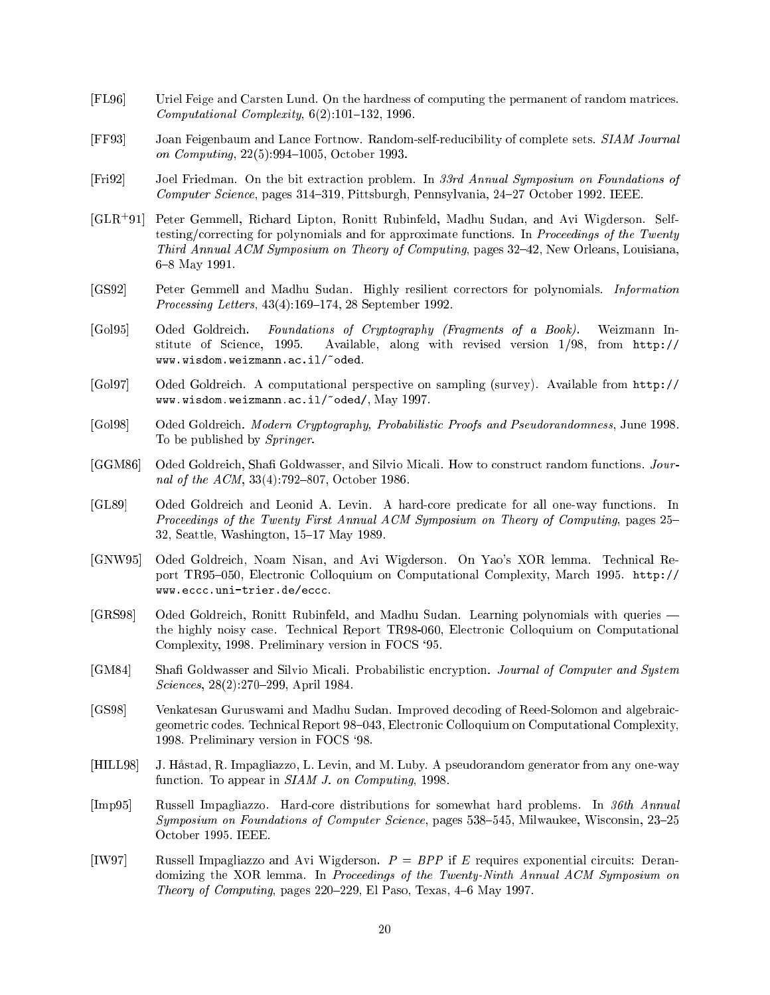- [FL96] Uriel Feige and Carsten Lund. On the hardness of computing the permanent of random matrices.  $Computational$   $Complexity$ ,  $6(2):101–132$ , 1996.
- [FF93] Joan Feigenbaum and Lance Fortnow. Random-self-reducibility of complete sets. SIAM Journal on *Computing*, 22(5):994-1005, October 1993.
- [Fri92] Joel Friedman. On the bit extraction problem. In 33rd Annual Symposium on Foundations of Computer Science, pages 314-319, Pittsburgh, Pennsylvania, 24-27 October 1992. IEEE.
- $[GLR+91]$ 91] Peter Gemmell, Richard Lipton, Ronitt Rubinfeld, Madhu Sudan, and Avi Wigderson. Selftesting/correcting for polynomials and for approximate functions. In Proceedings of the Twenty Third Annual ACM Symposium on Theory of Computing, pages  $32-42$ , New Orleans, Louisiana, 6{8 May 1991.
- [GS92] Peter Gemmell and Madhu Sudan. Highly resilient correctors for polynomials. Information Processing Letters, 43(4):169-174, 28 September 1992.
- [Gol95] Oded Goldreich. Foundations of Cryptography (Fragments of a Book). Weizmann Institute of Science, 1995. Available, along with revised version 1/98, from http:// www.wisdom.weizmann.ac.il/~oded.
- [Gol97] Oded Goldreich. A computational perspective on sampling (survey). Available from http:// www.wisdom.weizmann.ac.il/~oded/, May 1997.
- [Gol98] Oded Goldreich. Modern Cryptography, Probabilistic Proofs and Pseudorandomness, June 1998. To be published by Springer.
- [GGM86] Oded Goldreich, Shafi Goldwasser, and Silvio Micali. How to construct random functions. Journal of the  $ACM$ , 33(4):792-807, October 1986.
- [GL89] Oded Goldreich and Leonid A. Levin. A hard-core predicate for all one-way functions. In Proceedings of the Twenty First Annual ACM Symposium on Theory of Computing, pages 25– 32, Seattle, Washington, 15-17 May 1989.
- [GNW95] Oded Goldreich, Noam Nisan, and Avi Wigderson. On Yao's XOR lemma. Technical Report TR95-050, Electronic Colloquium on Computational Complexity, March 1995. http:// www.eccc.uni-trier.de/eccc.
- [GRS98] Oded Goldreich, Ronitt Rubinfeld, and Madhu Sudan. Learning polynomials with queries the highly noisy case. Technical Report TR98-060, Electronic Colloquium on Computational Complexity, 1998. Preliminary version in FOCS `95.
- [GM84] Shafi Goldwasser and Silvio Micali. Probabilistic encryption. Journal of Computer and System Sciences, 28(2):270-299, April 1984.
- [GS98] Venkatesan Guruswami and Madhu Sudan. Improved decoding of Reed-Solomon and algebraicgeometric codes. Technical Report 98-043, Electronic Colloquium on Computational Complexity, 1998. Preliminary version in FOCS `98.
- [HILL98] J. Hastad, R. Impagliazzo, L. Levin, and M. Luby. A pseudorandom generator from any one-way function. To appear in SIAM J. on Computing, 1998.
- [Imp95] Russell Impagliazzo. Hard-core distributions for somewhat hard problems. In 36th Annual  $Sumposing on Foundations of Computer Science, pages 538–545, Milwaukee, Wisconsin,  $23–25$$ October 1995. IEEE.
- [IW97] Russell Impagliazzo and Avi Wigderson.  $P = BPP$  if E requires exponential circuits: Derandomizing the XOR lemma. In *Proceedings of the Twenty-Ninth Annual ACM Symposium on* Theory of Computing, pages  $220-229$ , El Paso, Texas,  $4-6$  May 1997.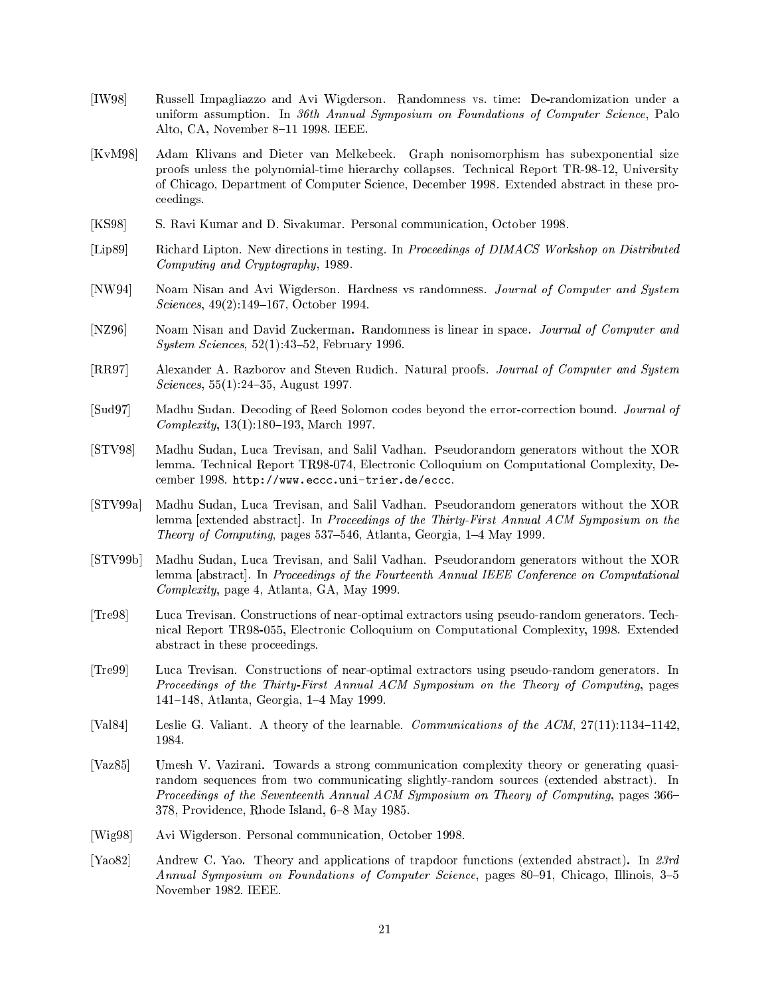- [IW98] Russell Impagliazzo and Avi Wigderson. Randomness vs. time: De-randomization under a uniform assumption. In 36th Annual Symposium on Foundations of Computer Science, Palo Alto, CA, November 8-11 1998. IEEE.
- [KvM98] Adam Klivans and Dieter van Melkebeek. Graph nonisomorphism has subexponential size proofs unless the polynomial-time hierarchy collapses. Technical Report TR-98-12, University of Chicago, Department of Computer Science, December 1998. Extended abstract in these proceedings.
- [KS98] S. Ravi Kumar and D. Sivakumar. Personal communication, October 1998.
- [Lip89] Richard Lipton. New directions in testing. In Proceedings of DIMACS Workshop on Distributed Computing and Cryptography, 1989.
- [NW94] Noam Nisan and Avi Wigderson. Hardness vs randomness. Journal of Computer and System Sciences, 49(2):149-167, October 1994.
- [NZ96] Noam Nisan and David Zuckerman. Randomness is linear in space. *Journal of Computer and* System Sciences,  $52(1):43-52$ , February 1996.
- [RR97] Alexander A. Razborov and Steven Rudich. Natural proofs. Journal of Computer and System Sciences,  $55(1):24-35$ , August 1997.
- [Sud97] Madhu Sudan. Decoding of Reed Solomon codes beyond the error-correction bound. Journal of  $Complexity, 13(1):180–193, March 1997.$
- [STV98] Madhu Sudan, Luca Trevisan, and Salil Vadhan. Pseudorandom generators without the XOR lemma. Technical Report TR98-074, Electronic Colloquium on Computational Complexity, December 1998. http://www.eccc.uni-trier.de/eccc.
- [STV99a] Madhu Sudan, Luca Trevisan, and Salil Vadhan. Pseudorandom generators without the XOR lemma [extended abstract]. In Proceedings of the Thirty-First Annual ACM Symposium on the Theory of Computing, pages  $537-546$ , Atlanta, Georgia,  $1-4$  May 1999.
- [STV99b] Madhu Sudan, Luca Trevisan, and Salil Vadhan. Pseudorandom generators without the XOR lemma [abstract]. In Proceedings of the Fourteenth Annual IEEE Conference on Computational Complexity, page 4, Atlanta, GA, May 1999.
- [Tre98] Luca Trevisan. Constructions of near-optimal extractors using pseudo-random generators. Technical Report TR98-055, Electronic Colloquium on Computational Complexity, 1998. Extended abstract in these proceedings.
- [Tre99] Luca Trevisan. Constructions of near-optimal extractors using pseudo-random generators. In Proceedings of the Thirty-First Annual ACM Symposium on the Theory of Computing, pages 141-148, Atlanta, Georgia, 1-4 May 1999.
- [Val84] Leslie G. Valiant. A theory of the learnable. Communications of the  $ACM$ ,  $27(11):1134-1142$ , 1984.
- [Vaz85] Umesh V. Vazirani. Towards a strong communication complexity theory or generating quasirandom sequences from two communicating slightly-random sources (extended abstract). In Proceedings of the Seventeenth Annual ACM Symposium on Theory of Computing, pages 366-378, Providence, Rhode Island, 6-8 May 1985.
- [Wig98] Avi Wigderson. Personal communication, October 1998.
- [Yao82] Andrew C. Yao. Theory and applications of trapdoor functions (extended abstract). In 23rd Annual Symposium on Foundations of Computer Science, pages  $80-91$ , Chicago, Illinois, 3-5 November 1982. IEEE.